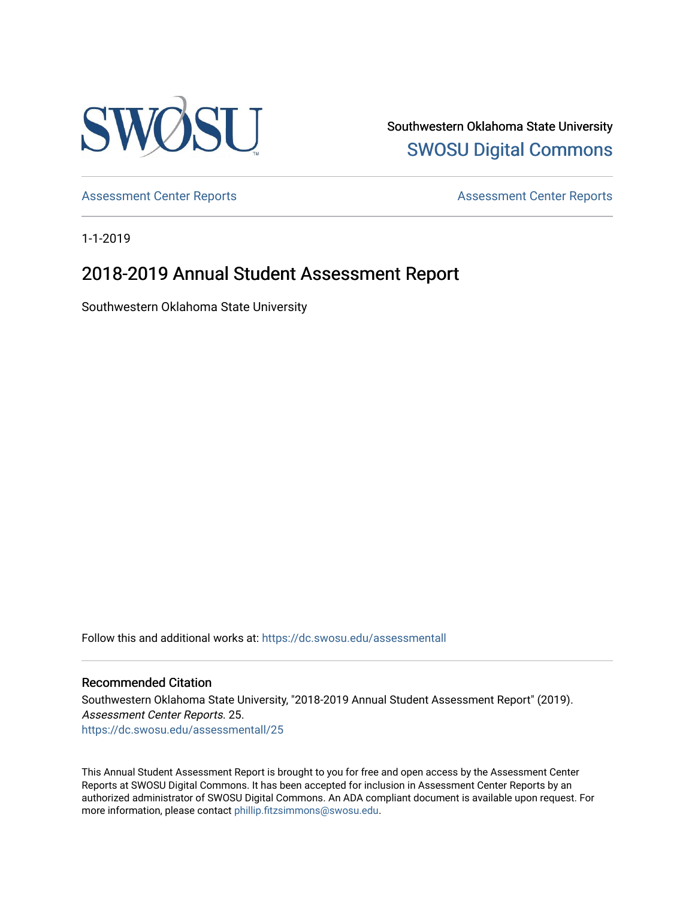

Southwestern Oklahoma State University [SWOSU Digital Commons](https://dc.swosu.edu/) 

[Assessment Center Reports](https://dc.swosu.edu/assessmenthm) **Assessment Center Reports** 

1-1-2019

## 2018-2019 Annual Student Assessment Report

Southwestern Oklahoma State University

Follow this and additional works at: [https://dc.swosu.edu/assessmentall](https://dc.swosu.edu/assessmentall?utm_source=dc.swosu.edu%2Fassessmentall%2F25&utm_medium=PDF&utm_campaign=PDFCoverPages) 

#### Recommended Citation

Southwestern Oklahoma State University, "2018-2019 Annual Student Assessment Report" (2019). Assessment Center Reports. 25. [https://dc.swosu.edu/assessmentall/25](https://dc.swosu.edu/assessmentall/25?utm_source=dc.swosu.edu%2Fassessmentall%2F25&utm_medium=PDF&utm_campaign=PDFCoverPages) 

This Annual Student Assessment Report is brought to you for free and open access by the Assessment Center Reports at SWOSU Digital Commons. It has been accepted for inclusion in Assessment Center Reports by an authorized administrator of SWOSU Digital Commons. An ADA compliant document is available upon request. For more information, please contact [phillip.fitzsimmons@swosu.edu.](mailto:phillip.fitzsimmons@swosu.edu)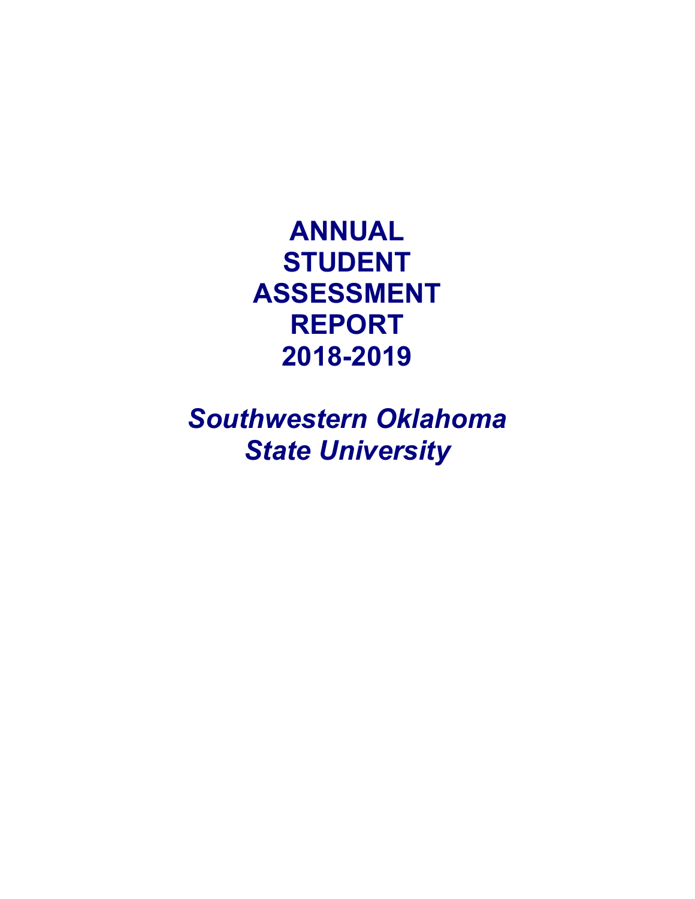**ANNUAL STUDENT ASSESSMENT REPORT 2018-2019** 

*Southwestern Oklahoma State University*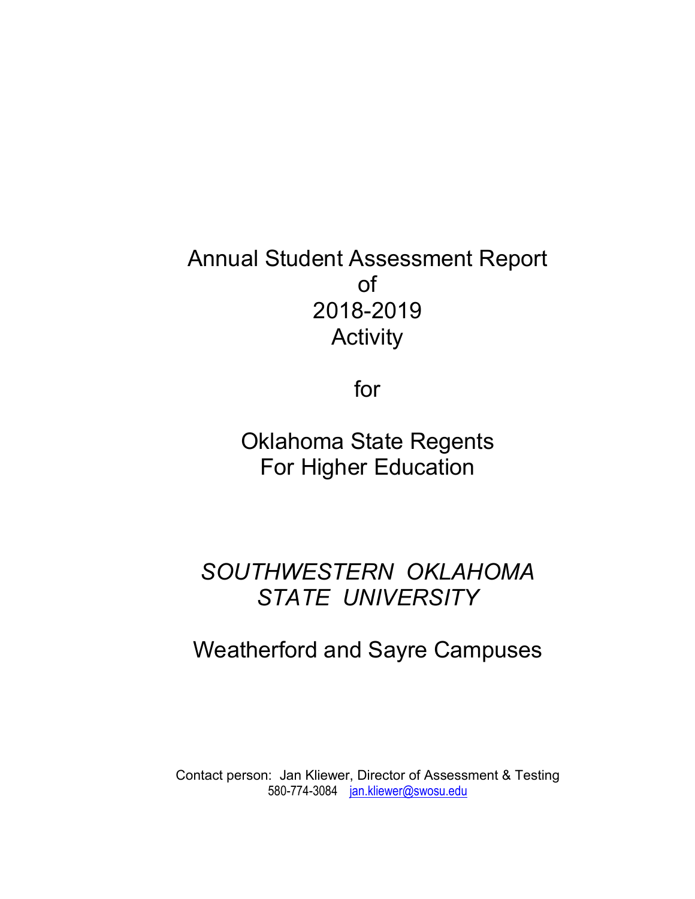# Annual Student Assessment Report of 2018-2019 **Activity**

for

Oklahoma State Regents For Higher Education

# *SOUTHWESTERN OKLAHOMA STATE UNIVERSITY*

# Weatherford and Sayre Campuses

Contact person: Jan Kliewer, Director of Assessment & Testing 580-774-3084 [jan.kliewer@swosu.edu](mailto:jan.kliewer@swosu.edu)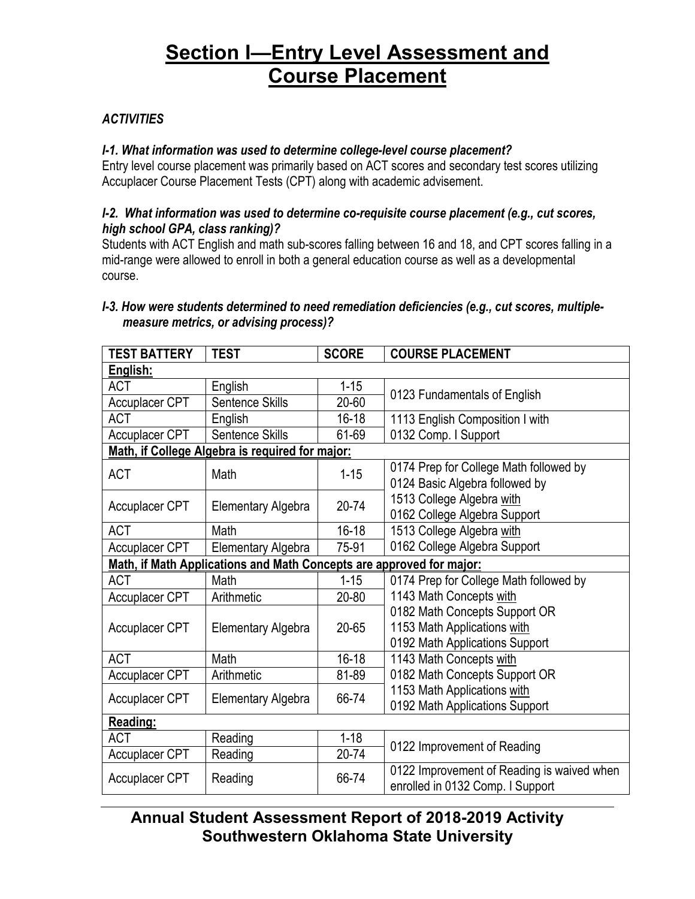## **Section I—Entry Level Assessment and Course Placement**

### *ACTIVITIES*

### *I-1. What information was used to determine college-level course placement?*

Entry level course placement was primarily based on ACT scores and secondary test scores utilizing Accuplacer Course Placement Tests (CPT) along with academic advisement.

### *I-2. What information was used to determine co-requisite course placement (e.g., cut scores, high school GPA, class ranking)?*

Students with ACT English and math sub-scores falling between 16 and 18, and CPT scores falling in a mid-range were allowed to enroll in both a general education course as well as a developmental course.

### *I-3. How were students determined to need remediation deficiencies (e.g., cut scores, multiplemeasure metrics, or advising process)?*

| <b>TEST BATTERY</b>                                                  | <b>TEST</b>                                     | <b>SCORE</b> | <b>COURSE PLACEMENT</b>                                                                        |  |  |  |
|----------------------------------------------------------------------|-------------------------------------------------|--------------|------------------------------------------------------------------------------------------------|--|--|--|
| English:                                                             |                                                 |              |                                                                                                |  |  |  |
| <b>ACT</b>                                                           | English                                         | $1 - 15$     |                                                                                                |  |  |  |
| <b>Accuplacer CPT</b>                                                | Sentence Skills                                 | 20-60        | 0123 Fundamentals of English                                                                   |  |  |  |
| <b>ACT</b>                                                           | English                                         | $16 - 18$    | 1113 English Composition I with                                                                |  |  |  |
| <b>Accuplacer CPT</b>                                                | Sentence Skills                                 | 61-69        | 0132 Comp. I Support                                                                           |  |  |  |
|                                                                      | Math, if College Algebra is required for major: |              |                                                                                                |  |  |  |
| <b>ACT</b>                                                           | Math                                            | $1 - 15$     | 0174 Prep for College Math followed by<br>0124 Basic Algebra followed by                       |  |  |  |
| <b>Accuplacer CPT</b>                                                | <b>Elementary Algebra</b>                       | $20 - 74$    | 1513 College Algebra with<br>0162 College Algebra Support                                      |  |  |  |
| <b>ACT</b>                                                           | Math                                            | $16 - 18$    | 1513 College Algebra with                                                                      |  |  |  |
| <b>Accuplacer CPT</b>                                                | <b>Elementary Algebra</b>                       | 75-91        | 0162 College Algebra Support                                                                   |  |  |  |
| Math, if Math Applications and Math Concepts are approved for major: |                                                 |              |                                                                                                |  |  |  |
| <b>ACT</b>                                                           | Math                                            | $1 - 15$     | 0174 Prep for College Math followed by                                                         |  |  |  |
| <b>Accuplacer CPT</b>                                                | Arithmetic                                      | 20-80        | 1143 Math Concepts with                                                                        |  |  |  |
| Accuplacer CPT                                                       | Elementary Algebra                              | 20-65        | 0182 Math Concepts Support OR<br>1153 Math Applications with<br>0192 Math Applications Support |  |  |  |
| <b>ACT</b>                                                           | Math                                            | $16 - 18$    | 1143 Math Concepts with                                                                        |  |  |  |
| <b>Accuplacer CPT</b>                                                | Arithmetic                                      | 81-89        | 0182 Math Concepts Support OR                                                                  |  |  |  |
| <b>Accuplacer CPT</b>                                                | Elementary Algebra                              | 66-74        | 1153 Math Applications with<br>0192 Math Applications Support                                  |  |  |  |
| Reading:                                                             |                                                 |              |                                                                                                |  |  |  |
| <b>ACT</b>                                                           | Reading                                         | $1 - 18$     | 0122 Improvement of Reading                                                                    |  |  |  |
| Accuplacer CPT                                                       | Reading                                         | 20-74        |                                                                                                |  |  |  |
| <b>Accuplacer CPT</b>                                                | Reading                                         | 66-74        | 0122 Improvement of Reading is waived when<br>enrolled in 0132 Comp. I Support                 |  |  |  |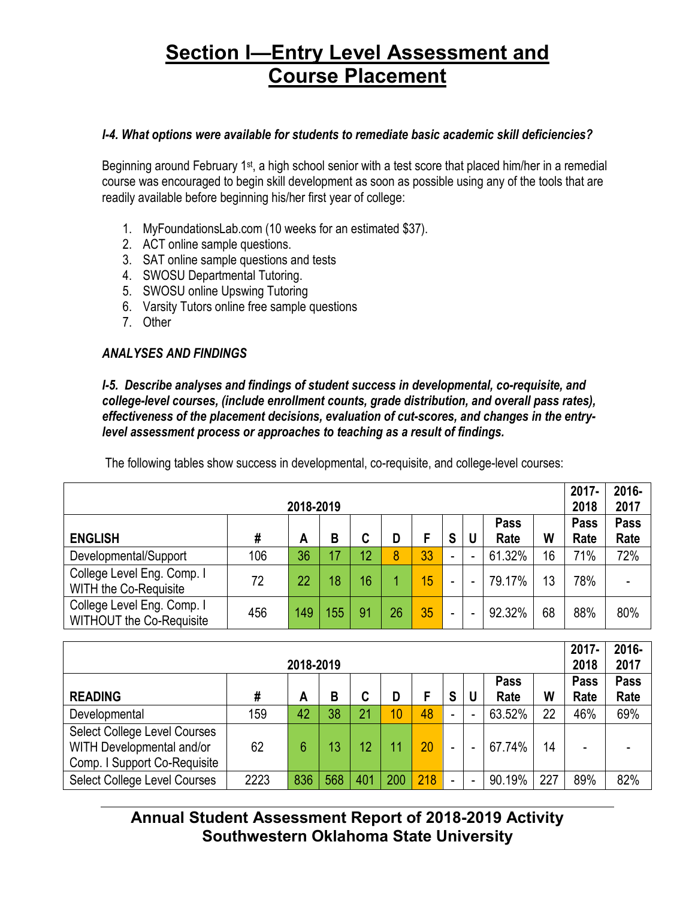## **Section I—Entry Level Assessment and Course Placement**

#### *I-4. What options were available for students to remediate basic academic skill deficiencies?*

Beginning around February 1<sup>st</sup>, a high school senior with a test score that placed him/her in a remedial course was encouraged to begin skill development as soon as possible using any of the tools that are readily available before beginning his/her first year of college:

- 1. MyFoundationsLab.com (10 weeks for an estimated \$37).
- 2. ACT online sample questions.
- 3. SAT online sample questions and tests
- 4. SWOSU Departmental Tutoring.
- 5. SWOSU online Upswing Tutoring
- 6. Varsity Tutors online free sample questions
- 7. Other

### *ANALYSES AND FINDINGS*

*I-5. Describe analyses and findings of student success in developmental, co-requisite, and college-level courses, (include enrollment counts, grade distribution, and overall pass rates), effectiveness of the placement decisions, evaluation of cut-scores, and changes in the entrylevel assessment process or approaches to teaching as a result of findings.*

| 2018-2019                                                     |     |     |     |    |    |    |                          |   |              |    | $2017 -$<br>2018 | 2016-<br>2017       |
|---------------------------------------------------------------|-----|-----|-----|----|----|----|--------------------------|---|--------------|----|------------------|---------------------|
| <b>ENGLISH</b>                                                | #   | A   | B   | C  | D  |    | S                        | U | Pass<br>Rate | W  | Pass<br>Rate     | <b>Pass</b><br>Rate |
| Developmental/Support                                         | 106 | 36  | 17  | 12 | 8  | 33 | $\overline{\phantom{0}}$ |   | 61.32%       | 16 | 71%              | 72%                 |
| College Level Eng. Comp. I<br><b>WITH the Co-Requisite</b>    | 72  | 22  | 18  | 16 |    | 15 | ۰                        |   | 79.17%       | 13 | 78%              |                     |
| College Level Eng. Comp. I<br><b>WITHOUT the Co-Requisite</b> | 456 | 149 | 155 | 91 | 26 | 35 | ۰                        |   | 92.32%       | 68 | 88%              | 80%                 |

The following tables show success in developmental, co-requisite, and college-level courses:

|                                                                                           |      |     |     |     |                 |     |   |   |             | $2017 -$ | 2016- |      |
|-------------------------------------------------------------------------------------------|------|-----|-----|-----|-----------------|-----|---|---|-------------|----------|-------|------|
| 2018-2019                                                                                 |      |     |     |     |                 |     |   |   |             |          | 2018  | 2017 |
|                                                                                           |      |     |     |     |                 |     |   |   | <b>Pass</b> |          | Pass  | Pass |
| <b>READING</b>                                                                            | #    | A   | В   | C   | D               |     | S | U | Rate        | W        | Rate  | Rate |
| Developmental                                                                             | 159  | 42  | 38  | 21  | 10 <sub>1</sub> | 48  |   |   | 63.52%      | 22       | 46%   | 69%  |
| Select College Level Courses<br>WITH Developmental and/or<br>Comp. I Support Co-Requisite | 62   | 6   | 13  | 12  | 11              | 20  |   |   | 67.74%      | 14       | -     |      |
| Select College Level Courses                                                              | 2223 | 836 | 568 | 401 | 200             | 218 |   |   | 90.19%      | 227      | 89%   | 82%  |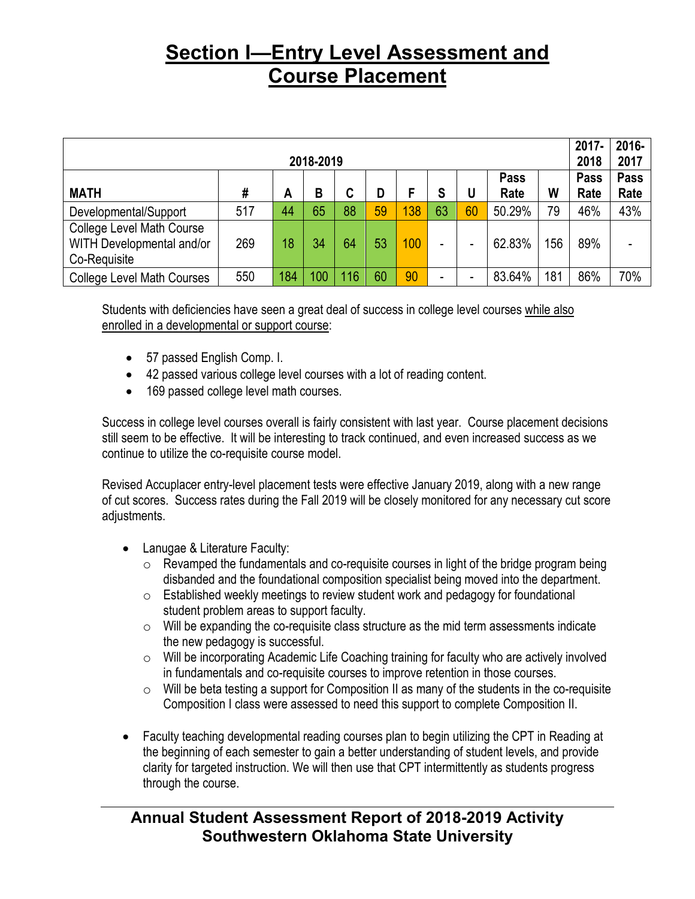## **Section I—Entry Level Assessment and Course Placement**

| 2018-2019                                                                     |     |     |     |     |    |     |    |    |              |     | $2017 -$<br>2018 | 2016-<br>2017       |
|-------------------------------------------------------------------------------|-----|-----|-----|-----|----|-----|----|----|--------------|-----|------------------|---------------------|
| <b>MATH</b>                                                                   | #   | A   | B   | C   | D  | F   | S  | U  | Pass<br>Rate | W   | Pass<br>Rate     | <b>Pass</b><br>Rate |
| Developmental/Support                                                         | 517 | 44  | 65  | 88  | 59 | 138 | 63 | 60 | 50.29%       | 79  | 46%              | 43%                 |
| <b>College Level Math Course</b><br>WITH Developmental and/or<br>Co-Requisite | 269 | 18  | 34  | 64  | 53 | 100 | -  |    | 62.83%       | 156 | 89%              |                     |
| <b>College Level Math Courses</b>                                             | 550 | 184 | 100 | 116 | 60 | 90  | -  |    | 83.64%       | 181 | 86%              | 70%                 |

Students with deficiencies have seen a great deal of success in college level courses while also enrolled in a developmental or support course:

- 57 passed English Comp. I.
- 42 passed various college level courses with a lot of reading content.
- 169 passed college level math courses.

Success in college level courses overall is fairly consistent with last year. Course placement decisions still seem to be effective. It will be interesting to track continued, and even increased success as we continue to utilize the co-requisite course model.

Revised Accuplacer entry-level placement tests were effective January 2019, along with a new range of cut scores. Success rates during the Fall 2019 will be closely monitored for any necessary cut score adjustments.

- Lanugae & Literature Faculty:
	- $\circ$  Revamped the fundamentals and co-requisite courses in light of the bridge program being disbanded and the foundational composition specialist being moved into the department.
	- o Established weekly meetings to review student work and pedagogy for foundational student problem areas to support faculty.
	- o Will be expanding the co-requisite class structure as the mid term assessments indicate the new pedagogy is successful.
	- o Will be incorporating Academic Life Coaching training for faculty who are actively involved in fundamentals and co-requisite courses to improve retention in those courses.
	- $\circ$  Will be beta testing a support for Composition II as many of the students in the co-requisite Composition I class were assessed to need this support to complete Composition II.
- Faculty teaching developmental reading courses plan to begin utilizing the CPT in Reading at the beginning of each semester to gain a better understanding of student levels, and provide clarity for targeted instruction. We will then use that CPT intermittently as students progress through the course.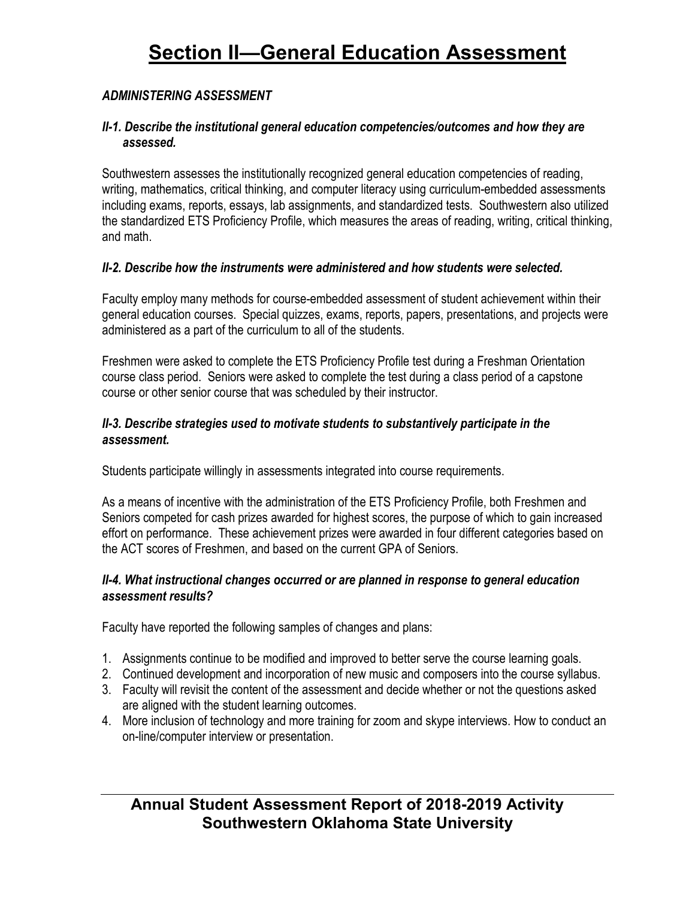### *ADMINISTERING ASSESSMENT*

### *II-1. Describe the institutional general education competencies/outcomes and how they are assessed.*

Southwestern assesses the institutionally recognized general education competencies of reading, writing, mathematics, critical thinking, and computer literacy using curriculum-embedded assessments including exams, reports, essays, lab assignments, and standardized tests. Southwestern also utilized the standardized ETS Proficiency Profile, which measures the areas of reading, writing, critical thinking, and math.

### *II-2. Describe how the instruments were administered and how students were selected.*

Faculty employ many methods for course-embedded assessment of student achievement within their general education courses. Special quizzes, exams, reports, papers, presentations, and projects were administered as a part of the curriculum to all of the students.

Freshmen were asked to complete the ETS Proficiency Profile test during a Freshman Orientation course class period. Seniors were asked to complete the test during a class period of a capstone course or other senior course that was scheduled by their instructor.

### *II-3. Describe strategies used to motivate students to substantively participate in the assessment.*

Students participate willingly in assessments integrated into course requirements.

As a means of incentive with the administration of the ETS Proficiency Profile, both Freshmen and Seniors competed for cash prizes awarded for highest scores, the purpose of which to gain increased effort on performance. These achievement prizes were awarded in four different categories based on the ACT scores of Freshmen, and based on the current GPA of Seniors.

### *II-4. What instructional changes occurred or are planned in response to general education assessment results?*

Faculty have reported the following samples of changes and plans:

- 1. Assignments continue to be modified and improved to better serve the course learning goals.
- 2. Continued development and incorporation of new music and composers into the course syllabus.
- 3. Faculty will revisit the content of the assessment and decide whether or not the questions asked are aligned with the student learning outcomes.
- 4. More inclusion of technology and more training for zoom and skype interviews. How to conduct an on-line/computer interview or presentation.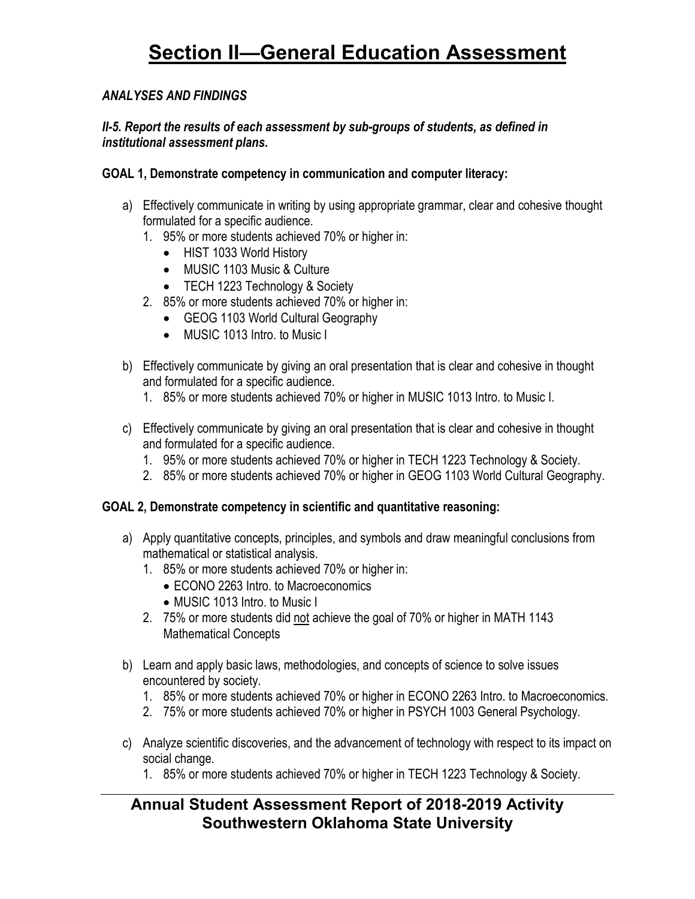### *ANALYSES AND FINDINGS*

### *II-5. Report the results of each assessment by sub-groups of students, as defined in institutional assessment plans.*

### **GOAL 1, Demonstrate competency in communication and computer literacy:**

- a) Effectively communicate in writing by using appropriate grammar, clear and cohesive thought formulated for a specific audience.
	- 1. 95% or more students achieved 70% or higher in:
		- HIST 1033 World History
		- MUSIC 1103 Music & Culture
		- TECH 1223 Technology & Society
	- 2. 85% or more students achieved 70% or higher in:
		- GEOG 1103 World Cultural Geography
		- MUSIC 1013 Intro. to Music I
- b) Effectively communicate by giving an oral presentation that is clear and cohesive in thought and formulated for a specific audience.
	- 1. 85% or more students achieved 70% or higher in MUSIC 1013 Intro. to Music I.
- c) Effectively communicate by giving an oral presentation that is clear and cohesive in thought and formulated for a specific audience.
	- 1. 95% or more students achieved 70% or higher in TECH 1223 Technology & Society.
	- 2. 85% or more students achieved 70% or higher in GEOG 1103 World Cultural Geography.

### **GOAL 2, Demonstrate competency in scientific and quantitative reasoning:**

- a) Apply quantitative concepts, principles, and symbols and draw meaningful conclusions from mathematical or statistical analysis.
	- 1. 85% or more students achieved 70% or higher in:
		- ECONO 2263 Intro. to Macroeconomics
		- MUSIC 1013 Intro. to Music I
	- 2. 75% or more students did not achieve the goal of 70% or higher in MATH 1143 Mathematical Concepts
- b) Learn and apply basic laws, methodologies, and concepts of science to solve issues encountered by society.
	- 1. 85% or more students achieved 70% or higher in ECONO 2263 Intro. to Macroeconomics.
	- 2. 75% or more students achieved 70% or higher in PSYCH 1003 General Psychology.
- c) Analyze scientific discoveries, and the advancement of technology with respect to its impact on social change.
	- 1. 85% or more students achieved 70% or higher in TECH 1223 Technology & Society.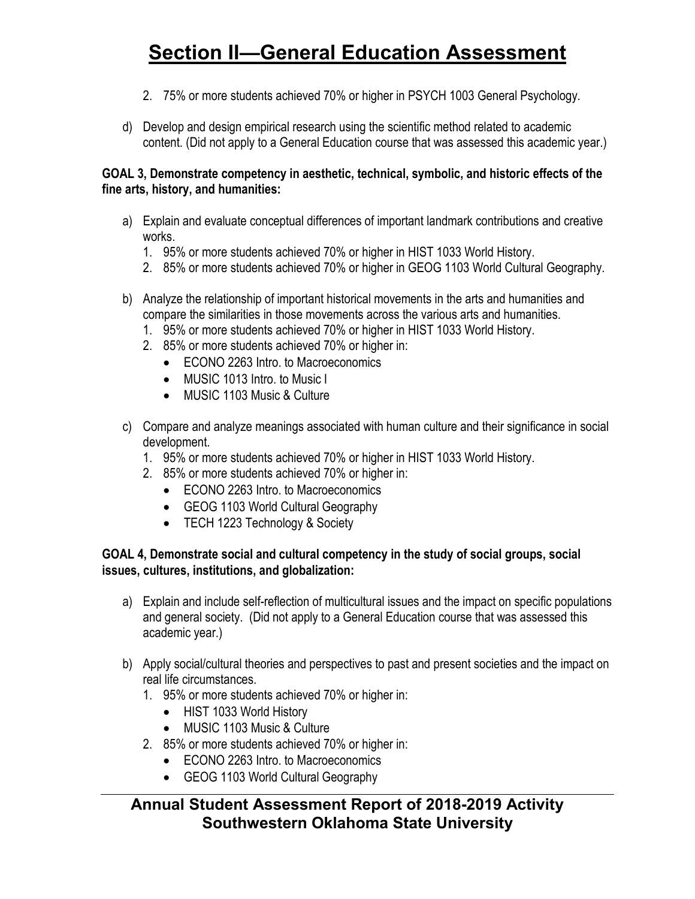- 2. 75% or more students achieved 70% or higher in PSYCH 1003 General Psychology.
- d) Develop and design empirical research using the scientific method related to academic content. (Did not apply to a General Education course that was assessed this academic year.)

### **GOAL 3, Demonstrate competency in aesthetic, technical, symbolic, and historic effects of the fine arts, history, and humanities:**

- a) Explain and evaluate conceptual differences of important landmark contributions and creative works.
	- 1. 95% or more students achieved 70% or higher in HIST 1033 World History.
	- 2. 85% or more students achieved 70% or higher in GEOG 1103 World Cultural Geography.
- b) Analyze the relationship of important historical movements in the arts and humanities and compare the similarities in those movements across the various arts and humanities.
	- 1. 95% or more students achieved 70% or higher in HIST 1033 World History.
	- 2. 85% or more students achieved 70% or higher in:
		- ECONO 2263 Intro. to Macroeconomics
		- MUSIC 1013 Intro. to Music I
		- MUSIC 1103 Music & Culture
- c) Compare and analyze meanings associated with human culture and their significance in social development.
	- 1. 95% or more students achieved 70% or higher in HIST 1033 World History.
	- 2. 85% or more students achieved 70% or higher in:
		- ECONO 2263 Intro. to Macroeconomics
		- GEOG 1103 World Cultural Geography
		- TECH 1223 Technology & Society

### **GOAL 4, Demonstrate social and cultural competency in the study of social groups, social issues, cultures, institutions, and globalization:**

- a) Explain and include self-reflection of multicultural issues and the impact on specific populations and general society. (Did not apply to a General Education course that was assessed this academic year.)
- b) Apply social/cultural theories and perspectives to past and present societies and the impact on real life circumstances.
	- 1. 95% or more students achieved 70% or higher in:
		- HIST 1033 World History
		- MUSIC 1103 Music & Culture
	- 2. 85% or more students achieved 70% or higher in:
		- ECONO 2263 Intro. to Macroeconomics
		- GEOG 1103 World Cultural Geography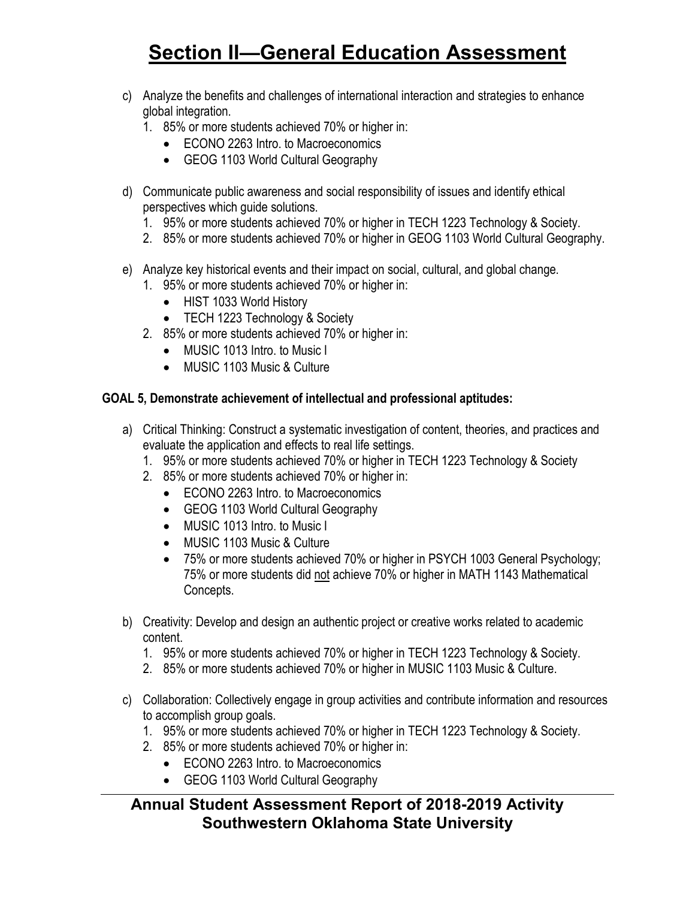- c) Analyze the benefits and challenges of international interaction and strategies to enhance global integration.
	- 1. 85% or more students achieved 70% or higher in:
		- ECONO 2263 Intro. to Macroeconomics
		- GEOG 1103 World Cultural Geography
- d) Communicate public awareness and social responsibility of issues and identify ethical perspectives which guide solutions.
	- 1. 95% or more students achieved 70% or higher in TECH 1223 Technology & Society.
	- 2. 85% or more students achieved 70% or higher in GEOG 1103 World Cultural Geography.
- e) Analyze key historical events and their impact on social, cultural, and global change.
	- 1. 95% or more students achieved 70% or higher in:
		- HIST 1033 World History
		- TECH 1223 Technology & Society
	- 2. 85% or more students achieved 70% or higher in:
		- MUSIC 1013 Intro. to Music I
		- MUSIC 1103 Music & Culture

### **GOAL 5, Demonstrate achievement of intellectual and professional aptitudes:**

- a) Critical Thinking: Construct a systematic investigation of content, theories, and practices and evaluate the application and effects to real life settings.
	- 1. 95% or more students achieved 70% or higher in TECH 1223 Technology & Society
	- 2. 85% or more students achieved 70% or higher in:
		- ECONO 2263 Intro. to Macroeconomics
		- GEOG 1103 World Cultural Geography
		- MUSIC 1013 Intro. to Music I
		- MUSIC 1103 Music & Culture
		- 75% or more students achieved 70% or higher in PSYCH 1003 General Psychology; 75% or more students did not achieve 70% or higher in MATH 1143 Mathematical Concepts.
- b) Creativity: Develop and design an authentic project or creative works related to academic content.
	- 1. 95% or more students achieved 70% or higher in TECH 1223 Technology & Society.
	- 2. 85% or more students achieved 70% or higher in MUSIC 1103 Music & Culture.
- c) Collaboration: Collectively engage in group activities and contribute information and resources to accomplish group goals.
	- 1. 95% or more students achieved 70% or higher in TECH 1223 Technology & Society.
	- 2. 85% or more students achieved 70% or higher in:
		- ECONO 2263 Intro. to Macroeconomics
			- GEOG 1103 World Cultural Geography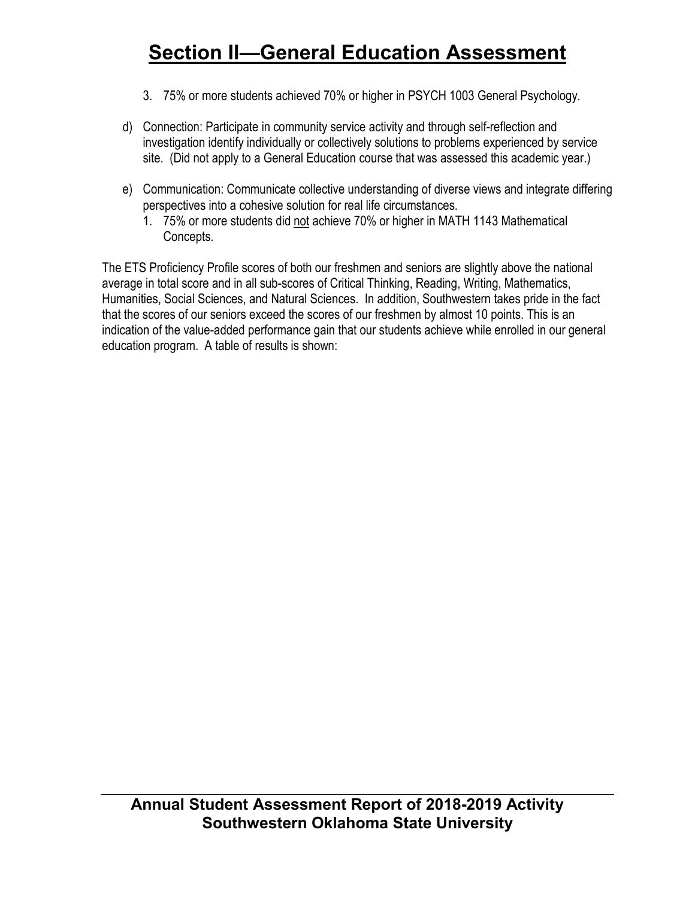- 3. 75% or more students achieved 70% or higher in PSYCH 1003 General Psychology.
- d) Connection: Participate in community service activity and through self-reflection and investigation identify individually or collectively solutions to problems experienced by service site. (Did not apply to a General Education course that was assessed this academic year.)
- e) Communication: Communicate collective understanding of diverse views and integrate differing perspectives into a cohesive solution for real life circumstances.
	- 1. 75% or more students did not achieve 70% or higher in MATH 1143 Mathematical Concepts.

The ETS Proficiency Profile scores of both our freshmen and seniors are slightly above the national average in total score and in all sub-scores of Critical Thinking, Reading, Writing, Mathematics, Humanities, Social Sciences, and Natural Sciences. In addition, Southwestern takes pride in the fact that the scores of our seniors exceed the scores of our freshmen by almost 10 points. This is an indication of the value-added performance gain that our students achieve while enrolled in our general education program. A table of results is shown: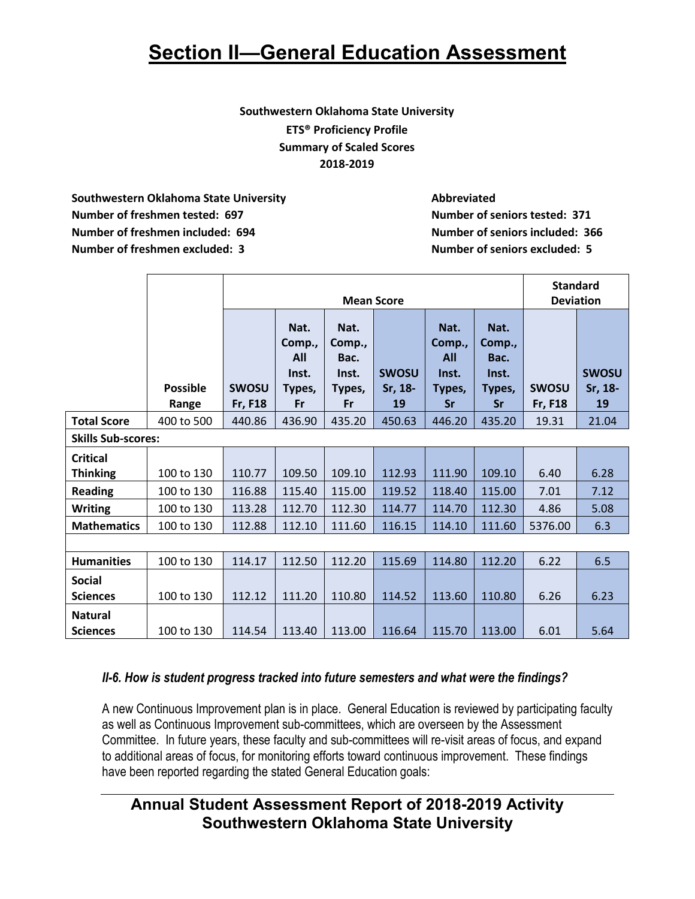### **Southwestern Oklahoma State University ETS® Proficiency Profile Summary of Scaled Scores 2018-2019**

**Southwestern Oklahoma State University Abbreviated Number of freshmen tested: 697 Number of seniors tested: 371 Number of freshmen included: 694 Number of seniors included: 366 Number of freshmen excluded: 3 Number of seniors excluded: 5**

|                                  |                          |                                |                                                       |                                                 | <b>Mean Score</b>             |                                                       |                                                 | <b>Standard</b><br><b>Deviation</b> |                               |
|----------------------------------|--------------------------|--------------------------------|-------------------------------------------------------|-------------------------------------------------|-------------------------------|-------------------------------------------------------|-------------------------------------------------|-------------------------------------|-------------------------------|
|                                  | <b>Possible</b><br>Range | <b>SWOSU</b><br><b>Fr, F18</b> | Nat.<br>Comp.,<br><b>All</b><br>Inst.<br>Types,<br>Fr | Nat.<br>Comp.,<br>Bac.<br>Inst.<br>Types,<br>Fr | <b>SWOSU</b><br>Sr, 18-<br>19 | Nat.<br>Comp.,<br><b>All</b><br>Inst.<br>Types,<br>Sr | Nat.<br>Comp.,<br>Bac.<br>Inst.<br>Types,<br>Sr | <b>SWOSU</b><br><b>Fr, F18</b>      | <b>SWOSU</b><br>Sr, 18-<br>19 |
| <b>Total Score</b>               | 400 to 500               | 440.86                         | 436.90                                                | 435.20                                          | 450.63                        | 446.20                                                | 435.20                                          | 19.31                               | 21.04                         |
| <b>Skills Sub-scores:</b>        |                          |                                |                                                       |                                                 |                               |                                                       |                                                 |                                     |                               |
| <b>Critical</b>                  |                          |                                |                                                       |                                                 |                               |                                                       |                                                 |                                     |                               |
| <b>Thinking</b>                  | 100 to 130               | 110.77                         | 109.50                                                | 109.10                                          | 112.93                        | 111.90                                                | 109.10                                          | 6.40                                | 6.28                          |
| <b>Reading</b>                   | 100 to 130               | 116.88                         | 115.40                                                | 115.00                                          | 119.52                        | 118.40                                                | 115.00                                          | 7.01                                | 7.12                          |
| <b>Writing</b>                   | 100 to 130               | 113.28                         | 112.70                                                | 112.30                                          | 114.77                        | 114.70                                                | 112.30                                          | 4.86                                | 5.08                          |
| <b>Mathematics</b>               | 100 to 130               | 112.88                         | 112.10                                                | 111.60                                          | 116.15                        | 114.10                                                | 111.60                                          | 5376.00                             | 6.3                           |
|                                  |                          |                                |                                                       |                                                 |                               |                                                       |                                                 |                                     |                               |
| <b>Humanities</b>                | 100 to 130               | 114.17                         | 112.50                                                | 112.20                                          | 115.69                        | 114.80                                                | 112.20                                          | 6.22                                | 6.5                           |
| <b>Social</b><br><b>Sciences</b> | 100 to 130               | 112.12                         | 111.20                                                | 110.80                                          | 114.52                        | 113.60                                                | 110.80                                          | 6.26                                | 6.23                          |
| <b>Natural</b>                   |                          |                                |                                                       |                                                 |                               |                                                       |                                                 |                                     |                               |
| <b>Sciences</b>                  | 100 to 130               | 114.54                         | 113.40                                                | 113.00                                          | 116.64                        | 115.70                                                | 113.00                                          | 6.01                                | 5.64                          |

### *II-6. How is student progress tracked into future semesters and what were the findings?*

A new Continuous Improvement plan is in place. General Education is reviewed by participating faculty as well as Continuous Improvement sub-committees, which are overseen by the Assessment Committee. In future years, these faculty and sub-committees will re-visit areas of focus, and expand to additional areas of focus, for monitoring efforts toward continuous improvement. These findings have been reported regarding the stated General Education goals: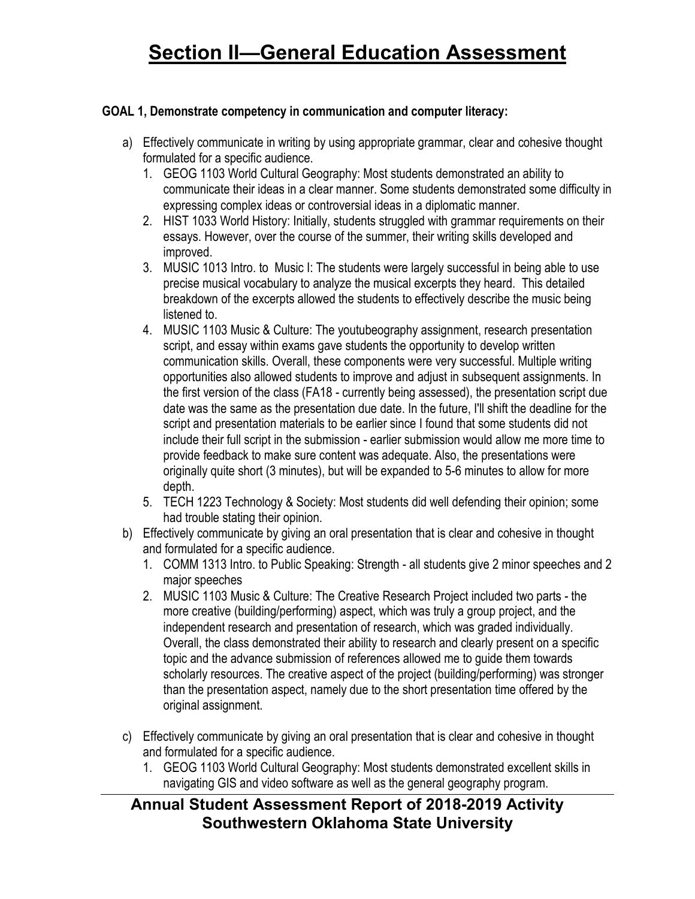### **GOAL 1, Demonstrate competency in communication and computer literacy:**

- a) Effectively communicate in writing by using appropriate grammar, clear and cohesive thought formulated for a specific audience.
	- 1. GEOG 1103 World Cultural Geography: Most students demonstrated an ability to communicate their ideas in a clear manner. Some students demonstrated some difficulty in expressing complex ideas or controversial ideas in a diplomatic manner.
	- 2. HIST 1033 World History: Initially, students struggled with grammar requirements on their essays. However, over the course of the summer, their writing skills developed and improved.
	- 3. MUSIC 1013 Intro. to Music I: The students were largely successful in being able to use precise musical vocabulary to analyze the musical excerpts they heard. This detailed breakdown of the excerpts allowed the students to effectively describe the music being listened to.
	- 4. MUSIC 1103 Music & Culture: The youtubeography assignment, research presentation script, and essay within exams gave students the opportunity to develop written communication skills. Overall, these components were very successful. Multiple writing opportunities also allowed students to improve and adjust in subsequent assignments. In the first version of the class (FA18 - currently being assessed), the presentation script due date was the same as the presentation due date. In the future, I'll shift the deadline for the script and presentation materials to be earlier since I found that some students did not include their full script in the submission - earlier submission would allow me more time to provide feedback to make sure content was adequate. Also, the presentations were originally quite short (3 minutes), but will be expanded to 5-6 minutes to allow for more depth.
	- 5. TECH 1223 Technology & Society: Most students did well defending their opinion; some had trouble stating their opinion.
- b) Effectively communicate by giving an oral presentation that is clear and cohesive in thought and formulated for a specific audience.
	- 1. COMM 1313 Intro. to Public Speaking: Strength all students give 2 minor speeches and 2 major speeches
	- 2. MUSIC 1103 Music & Culture: The Creative Research Project included two parts the more creative (building/performing) aspect, which was truly a group project, and the independent research and presentation of research, which was graded individually. Overall, the class demonstrated their ability to research and clearly present on a specific topic and the advance submission of references allowed me to guide them towards scholarly resources. The creative aspect of the project (building/performing) was stronger than the presentation aspect, namely due to the short presentation time offered by the original assignment.
- c) Effectively communicate by giving an oral presentation that is clear and cohesive in thought and formulated for a specific audience.
	- 1. GEOG 1103 World Cultural Geography: Most students demonstrated excellent skills in navigating GIS and video software as well as the general geography program.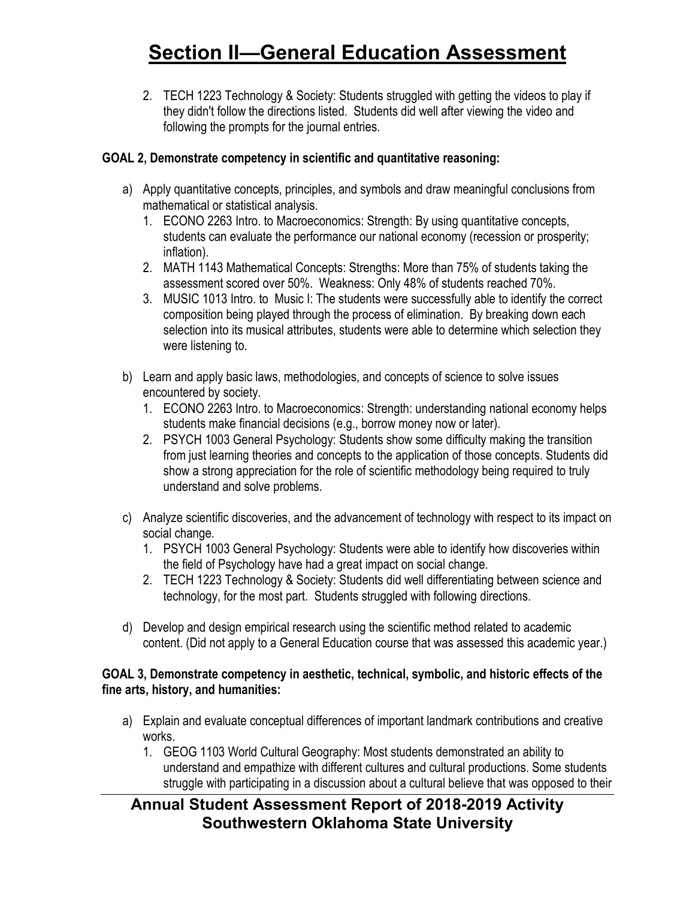2. TECH 1223 Technology & Society: Students struggled with getting the videos to play if they didn't follow the directions listed. Students did well after viewing the video and following the prompts for the journal entries.

### **GOAL 2, Demonstrate competency in scientific and quantitative reasoning:**

- a) Apply quantitative concepts, principles, and symbols and draw meaningful conclusions from mathematical or statistical analysis.
	- 1. ECONO 2263 Intro. to Macroeconomics: Strength: By using quantitative concepts, students can evaluate the performance our national economy (recession or prosperity; inflation).
	- 2. MATH 1143 Mathematical Concepts: Strengths: More than 75% of students taking the assessment scored over 50%. Weakness: Only 48% of students reached 70%.
	- 3. MUSIC 1013 Intro. to Music I: The students were successfully able to identify the correct composition being played through the process of elimination. By breaking down each selection into its musical attributes, students were able to determine which selection they were listening to.
- b) Learn and apply basic laws, methodologies, and concepts of science to solve issues encountered by society.
	- 1. ECONO 2263 Intro. to Macroeconomics: Strength: understanding national economy helps students make financial decisions (e.g., borrow money now or later).
	- 2. PSYCH 1003 General Psychology: Students show some difficulty making the transition from just learning theories and concepts to the application of those concepts. Students did show a strong appreciation for the role of scientific methodology being required to truly understand and solve problems.
- c) Analyze scientific discoveries, and the advancement of technology with respect to its impact on social change.
	- 1. PSYCH 1003 General Psychology: Students were able to identify how discoveries within the field of Psychology have had a great impact on social change.
	- 2. TECH 1223 Technology & Society: Students did well differentiating between science and technology, for the most part. Students struggled with following directions.
- d) Develop and design empirical research using the scientific method related to academic content. (Did not apply to a General Education course that was assessed this academic year.)

### **GOAL 3, Demonstrate competency in aesthetic, technical, symbolic, and historic effects of the fine arts, history, and humanities:**

- a) Explain and evaluate conceptual differences of important landmark contributions and creative works.
	- 1. GEOG 1103 World Cultural Geography: Most students demonstrated an ability to understand and empathize with different cultures and cultural productions. Some students struggle with participating in a discussion about a cultural believe that was opposed to their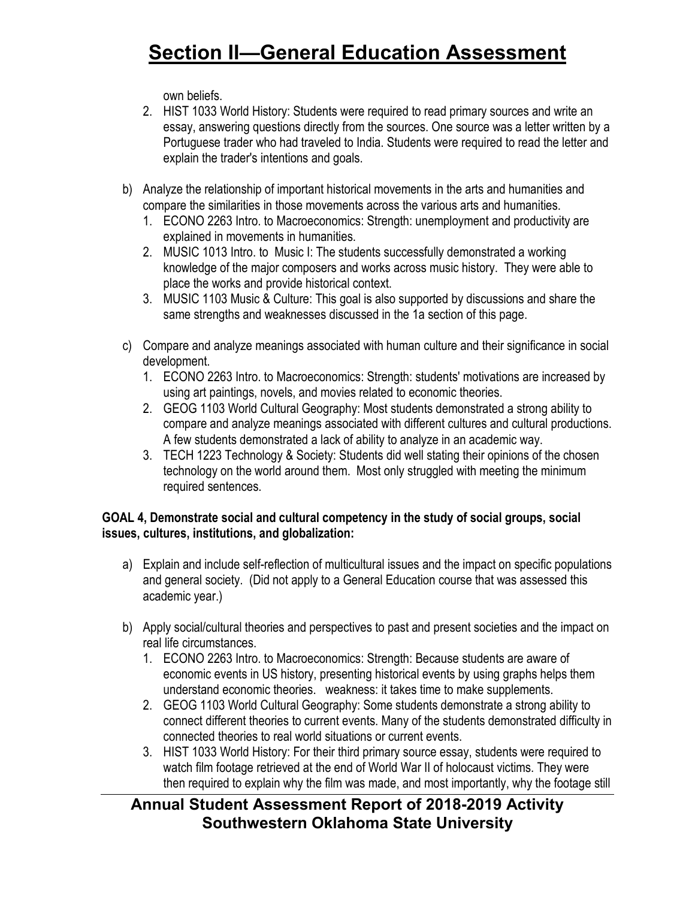own beliefs.

- 2. HIST 1033 World History: Students were required to read primary sources and write an essay, answering questions directly from the sources. One source was a letter written by a Portuguese trader who had traveled to India. Students were required to read the letter and explain the trader's intentions and goals.
- b) Analyze the relationship of important historical movements in the arts and humanities and compare the similarities in those movements across the various arts and humanities.
	- 1. ECONO 2263 Intro. to Macroeconomics: Strength: unemployment and productivity are explained in movements in humanities.
	- 2. MUSIC 1013 Intro. to Music I: The students successfully demonstrated a working knowledge of the major composers and works across music history. They were able to place the works and provide historical context.
	- 3. MUSIC 1103 Music & Culture: This goal is also supported by discussions and share the same strengths and weaknesses discussed in the 1a section of this page.
- c) Compare and analyze meanings associated with human culture and their significance in social development.
	- 1. ECONO 2263 Intro. to Macroeconomics: Strength: students' motivations are increased by using art paintings, novels, and movies related to economic theories.
	- 2. GEOG 1103 World Cultural Geography: Most students demonstrated a strong ability to compare and analyze meanings associated with different cultures and cultural productions. A few students demonstrated a lack of ability to analyze in an academic way.
	- 3. TECH 1223 Technology & Society: Students did well stating their opinions of the chosen technology on the world around them. Most only struggled with meeting the minimum required sentences.

### **GOAL 4, Demonstrate social and cultural competency in the study of social groups, social issues, cultures, institutions, and globalization:**

- a) Explain and include self-reflection of multicultural issues and the impact on specific populations and general society. (Did not apply to a General Education course that was assessed this academic year.)
- b) Apply social/cultural theories and perspectives to past and present societies and the impact on real life circumstances.
	- 1. ECONO 2263 Intro. to Macroeconomics: Strength: Because students are aware of economic events in US history, presenting historical events by using graphs helps them understand economic theories. weakness: it takes time to make supplements.
	- 2. GEOG 1103 World Cultural Geography: Some students demonstrate a strong ability to connect different theories to current events. Many of the students demonstrated difficulty in connected theories to real world situations or current events.
	- 3. HIST 1033 World History: For their third primary source essay, students were required to watch film footage retrieved at the end of World War II of holocaust victims. They were then required to explain why the film was made, and most importantly, why the footage still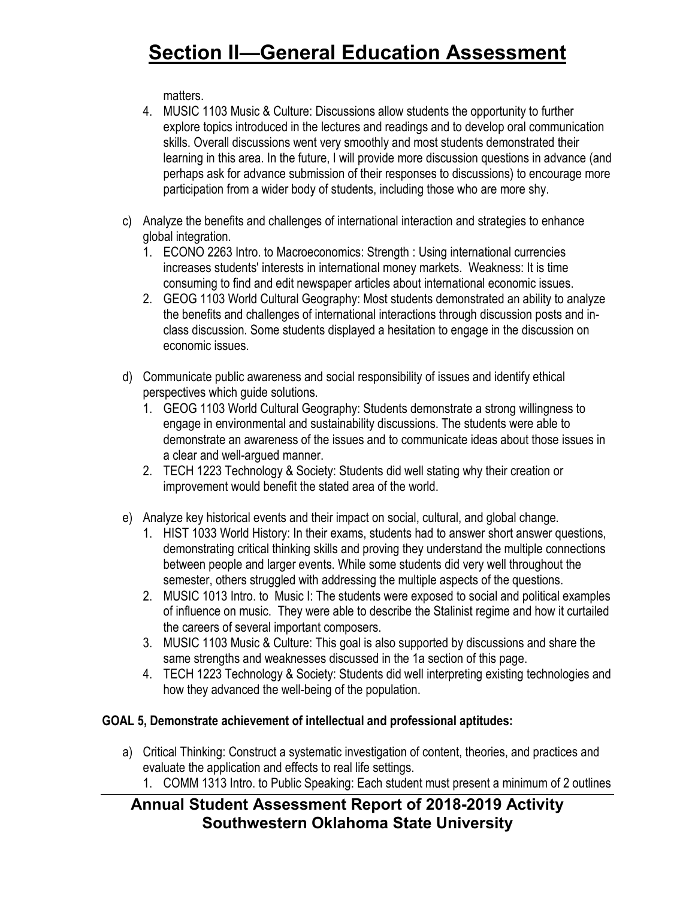matters.

- 4. MUSIC 1103 Music & Culture: Discussions allow students the opportunity to further explore topics introduced in the lectures and readings and to develop oral communication skills. Overall discussions went very smoothly and most students demonstrated their learning in this area. In the future, I will provide more discussion questions in advance (and perhaps ask for advance submission of their responses to discussions) to encourage more participation from a wider body of students, including those who are more shy.
- c) Analyze the benefits and challenges of international interaction and strategies to enhance global integration.
	- 1. ECONO 2263 Intro. to Macroeconomics: Strength : Using international currencies increases students' interests in international money markets. Weakness: It is time consuming to find and edit newspaper articles about international economic issues.
	- 2. GEOG 1103 World Cultural Geography: Most students demonstrated an ability to analyze the benefits and challenges of international interactions through discussion posts and inclass discussion. Some students displayed a hesitation to engage in the discussion on economic issues.
- d) Communicate public awareness and social responsibility of issues and identify ethical perspectives which guide solutions.
	- 1. GEOG 1103 World Cultural Geography: Students demonstrate a strong willingness to engage in environmental and sustainability discussions. The students were able to demonstrate an awareness of the issues and to communicate ideas about those issues in a clear and well-argued manner.
	- 2. TECH 1223 Technology & Society: Students did well stating why their creation or improvement would benefit the stated area of the world.
- e) Analyze key historical events and their impact on social, cultural, and global change.
	- 1. HIST 1033 World History: In their exams, students had to answer short answer questions, demonstrating critical thinking skills and proving they understand the multiple connections between people and larger events. While some students did very well throughout the semester, others struggled with addressing the multiple aspects of the questions.
	- 2. MUSIC 1013 Intro. to Music I: The students were exposed to social and political examples of influence on music. They were able to describe the Stalinist regime and how it curtailed the careers of several important composers.
	- 3. MUSIC 1103 Music & Culture: This goal is also supported by discussions and share the same strengths and weaknesses discussed in the 1a section of this page.
	- 4. TECH 1223 Technology & Society: Students did well interpreting existing technologies and how they advanced the well-being of the population.

### **GOAL 5, Demonstrate achievement of intellectual and professional aptitudes:**

- a) Critical Thinking: Construct a systematic investigation of content, theories, and practices and evaluate the application and effects to real life settings.
	- 1. COMM 1313 Intro. to Public Speaking: Each student must present a minimum of 2 outlines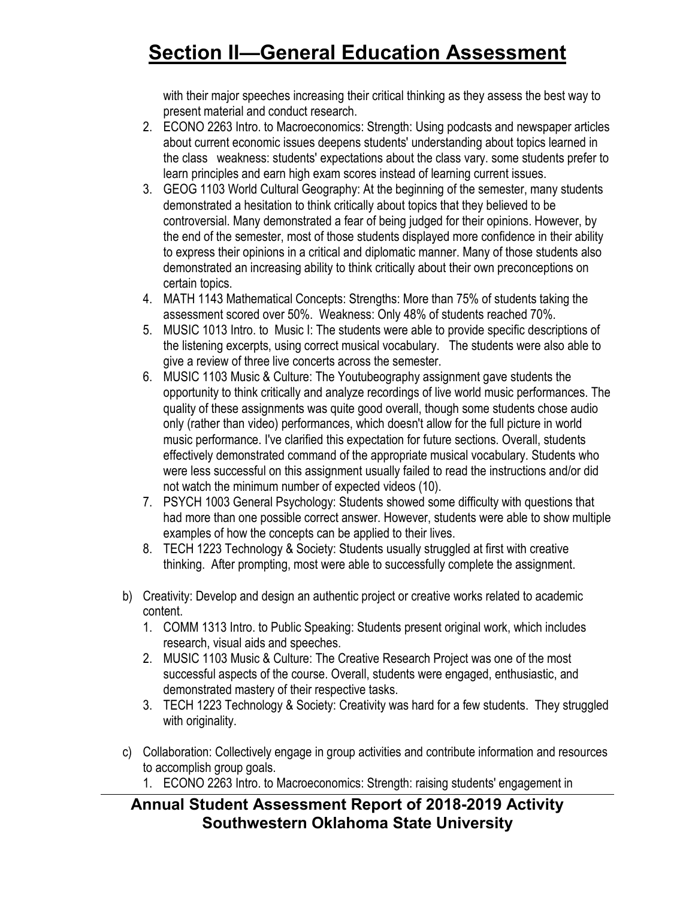with their major speeches increasing their critical thinking as they assess the best way to present material and conduct research.

- 2. ECONO 2263 Intro. to Macroeconomics: Strength: Using podcasts and newspaper articles about current economic issues deepens students' understanding about topics learned in the class weakness: students' expectations about the class vary. some students prefer to learn principles and earn high exam scores instead of learning current issues.
- 3. GEOG 1103 World Cultural Geography: At the beginning of the semester, many students demonstrated a hesitation to think critically about topics that they believed to be controversial. Many demonstrated a fear of being judged for their opinions. However, by the end of the semester, most of those students displayed more confidence in their ability to express their opinions in a critical and diplomatic manner. Many of those students also demonstrated an increasing ability to think critically about their own preconceptions on certain topics.
- 4. MATH 1143 Mathematical Concepts: Strengths: More than 75% of students taking the assessment scored over 50%. Weakness: Only 48% of students reached 70%.
- 5. MUSIC 1013 Intro. to Music I: The students were able to provide specific descriptions of the listening excerpts, using correct musical vocabulary. The students were also able to give a review of three live concerts across the semester.
- 6. MUSIC 1103 Music & Culture: The Youtubeography assignment gave students the opportunity to think critically and analyze recordings of live world music performances. The quality of these assignments was quite good overall, though some students chose audio only (rather than video) performances, which doesn't allow for the full picture in world music performance. I've clarified this expectation for future sections. Overall, students effectively demonstrated command of the appropriate musical vocabulary. Students who were less successful on this assignment usually failed to read the instructions and/or did not watch the minimum number of expected videos (10).
- 7. PSYCH 1003 General Psychology: Students showed some difficulty with questions that had more than one possible correct answer. However, students were able to show multiple examples of how the concepts can be applied to their lives.
- 8. TECH 1223 Technology & Society: Students usually struggled at first with creative thinking. After prompting, most were able to successfully complete the assignment.
- b) Creativity: Develop and design an authentic project or creative works related to academic content.
	- 1. COMM 1313 Intro. to Public Speaking: Students present original work, which includes research, visual aids and speeches.
	- 2. MUSIC 1103 Music & Culture: The Creative Research Project was one of the most successful aspects of the course. Overall, students were engaged, enthusiastic, and demonstrated mastery of their respective tasks.
	- 3. TECH 1223 Technology & Society: Creativity was hard for a few students. They struggled with originality.
- c) Collaboration: Collectively engage in group activities and contribute information and resources to accomplish group goals.
	- 1. ECONO 2263 Intro. to Macroeconomics: Strength: raising students' engagement in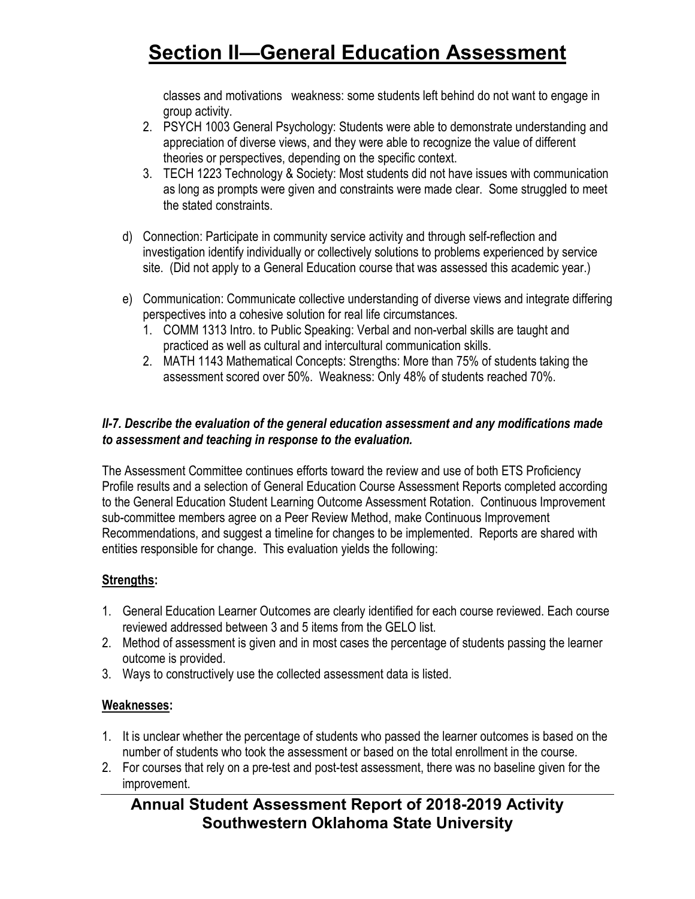classes and motivations weakness: some students left behind do not want to engage in group activity.

- 2. PSYCH 1003 General Psychology: Students were able to demonstrate understanding and appreciation of diverse views, and they were able to recognize the value of different theories or perspectives, depending on the specific context.
- 3. TECH 1223 Technology & Society: Most students did not have issues with communication as long as prompts were given and constraints were made clear. Some struggled to meet the stated constraints.
- d) Connection: Participate in community service activity and through self-reflection and investigation identify individually or collectively solutions to problems experienced by service site. (Did not apply to a General Education course that was assessed this academic year.)
- e) Communication: Communicate collective understanding of diverse views and integrate differing perspectives into a cohesive solution for real life circumstances.
	- 1. COMM 1313 Intro. to Public Speaking: Verbal and non-verbal skills are taught and practiced as well as cultural and intercultural communication skills.
	- 2. MATH 1143 Mathematical Concepts: Strengths: More than 75% of students taking the assessment scored over 50%. Weakness: Only 48% of students reached 70%.

### *II-7. Describe the evaluation of the general education assessment and any modifications made to assessment and teaching in response to the evaluation.*

The Assessment Committee continues efforts toward the review and use of both ETS Proficiency Profile results and a selection of General Education Course Assessment Reports completed according to the General Education Student Learning Outcome Assessment Rotation. Continuous Improvement sub-committee members agree on a Peer Review Method, make Continuous Improvement Recommendations, and suggest a timeline for changes to be implemented. Reports are shared with entities responsible for change. This evaluation yields the following:

### **Strengths:**

- 1. General Education Learner Outcomes are clearly identified for each course reviewed. Each course reviewed addressed between 3 and 5 items from the GELO list.
- 2. Method of assessment is given and in most cases the percentage of students passing the learner outcome is provided.
- 3. Ways to constructively use the collected assessment data is listed.

### **Weaknesses:**

- 1. It is unclear whether the percentage of students who passed the learner outcomes is based on the number of students who took the assessment or based on the total enrollment in the course.
- 2. For courses that rely on a pre-test and post-test assessment, there was no baseline given for the improvement.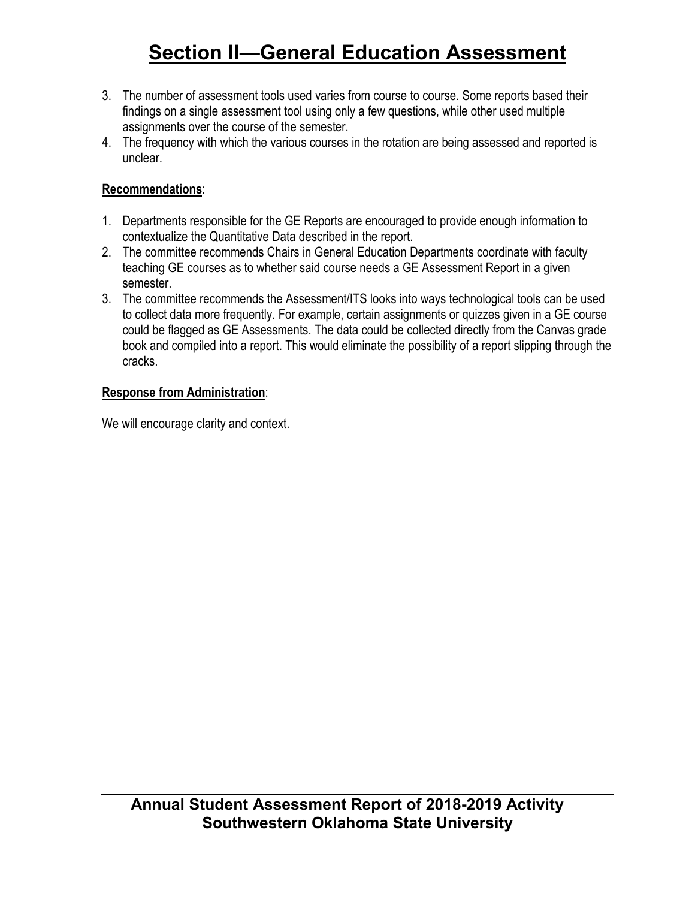- 3. The number of assessment tools used varies from course to course. Some reports based their findings on a single assessment tool using only a few questions, while other used multiple assignments over the course of the semester.
- 4. The frequency with which the various courses in the rotation are being assessed and reported is unclear.

### **Recommendations**:

- 1. Departments responsible for the GE Reports are encouraged to provide enough information to contextualize the Quantitative Data described in the report.
- 2. The committee recommends Chairs in General Education Departments coordinate with faculty teaching GE courses as to whether said course needs a GE Assessment Report in a given semester.
- 3. The committee recommends the Assessment/ITS looks into ways technological tools can be used to collect data more frequently. For example, certain assignments or quizzes given in a GE course could be flagged as GE Assessments. The data could be collected directly from the Canvas grade book and compiled into a report. This would eliminate the possibility of a report slipping through the cracks.

### **Response from Administration**:

We will encourage clarity and context.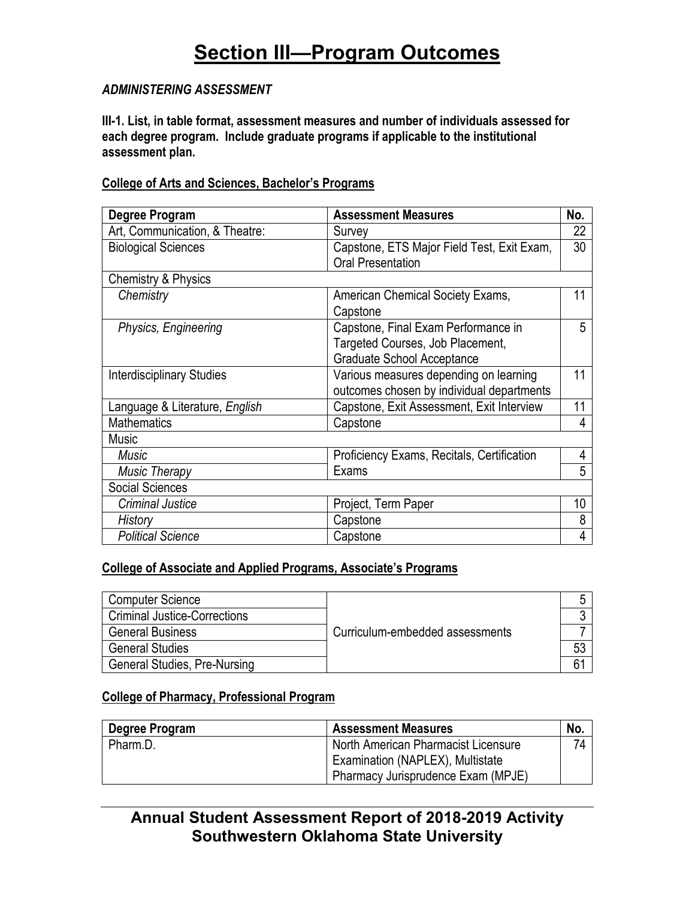### *ADMINISTERING ASSESSMENT*

**III-1. List, in table format, assessment measures and number of individuals assessed for each degree program. Include graduate programs if applicable to the institutional assessment plan.**

### **College of Arts and Sciences, Bachelor's Programs**

| Degree Program                   | <b>Assessment Measures</b>                                                                                   | No. |
|----------------------------------|--------------------------------------------------------------------------------------------------------------|-----|
| Art, Communication, & Theatre:   | Survey                                                                                                       | 22  |
| <b>Biological Sciences</b>       | Capstone, ETS Major Field Test, Exit Exam,<br><b>Oral Presentation</b>                                       | 30  |
| <b>Chemistry &amp; Physics</b>   |                                                                                                              |     |
| Chemistry                        | American Chemical Society Exams,<br>Capstone                                                                 | 11  |
| Physics, Engineering             | Capstone, Final Exam Performance in<br>Targeted Courses, Job Placement,<br><b>Graduate School Acceptance</b> | 5   |
| <b>Interdisciplinary Studies</b> | Various measures depending on learning<br>outcomes chosen by individual departments                          | 11  |
| Language & Literature, English   | Capstone, Exit Assessment, Exit Interview                                                                    | 11  |
| <b>Mathematics</b>               | Capstone                                                                                                     | 4   |
| <b>Music</b>                     |                                                                                                              |     |
| Music                            | Proficiency Exams, Recitals, Certification                                                                   | 4   |
| <b>Music Therapy</b>             | Exams                                                                                                        | 5   |
| <b>Social Sciences</b>           |                                                                                                              |     |
| <b>Criminal Justice</b>          | Project, Term Paper                                                                                          | 10  |
| History                          | Capstone                                                                                                     | 8   |
| <b>Political Science</b>         | Capstone                                                                                                     | 4   |

### **College of Associate and Applied Programs, Associate's Programs**

| Computer Science                    |                                 |  |  |  |  |
|-------------------------------------|---------------------------------|--|--|--|--|
| <b>Criminal Justice-Corrections</b> |                                 |  |  |  |  |
| <b>General Business</b>             | Curriculum-embedded assessments |  |  |  |  |
| <b>General Studies</b>              |                                 |  |  |  |  |
| <b>General Studies, Pre-Nursing</b> |                                 |  |  |  |  |

### **College of Pharmacy, Professional Program**

| Degree Program | <b>Assessment Measures</b>          | No.            |
|----------------|-------------------------------------|----------------|
| Pharm.D.       | North American Pharmacist Licensure | 7 <sub>h</sub> |
|                | Examination (NAPLEX), Multistate    |                |
|                | Pharmacy Jurisprudence Exam (MPJE)  |                |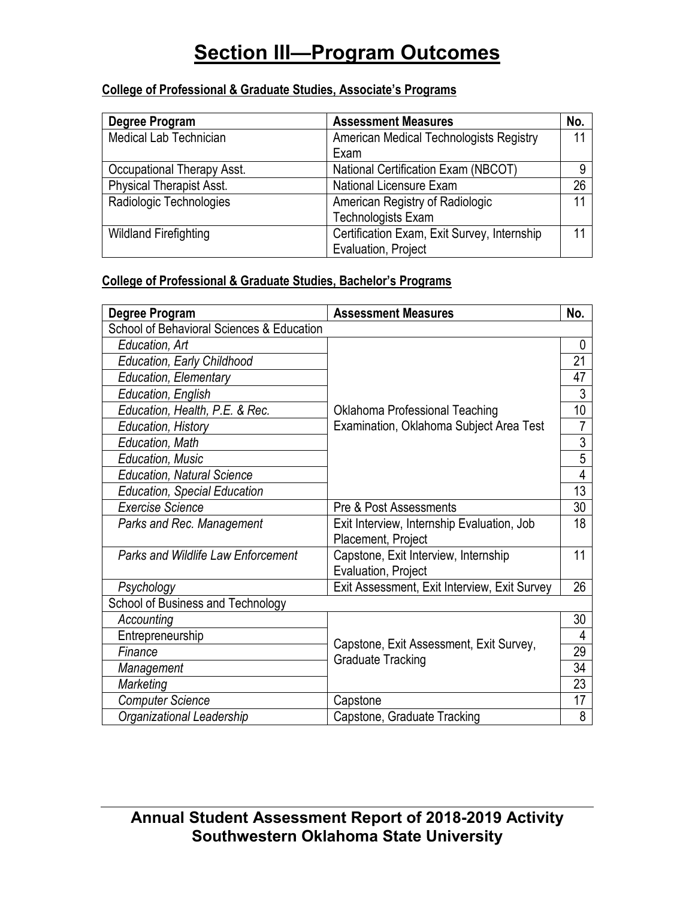### **College of Professional & Graduate Studies, Associate's Programs**

| Degree Program                  | <b>Assessment Measures</b>                  | No. |
|---------------------------------|---------------------------------------------|-----|
| <b>Medical Lab Technician</b>   | American Medical Technologists Registry     |     |
|                                 | Exam                                        |     |
| Occupational Therapy Asst.      | National Certification Exam (NBCOT)         |     |
| <b>Physical Therapist Asst.</b> | National Licensure Exam                     | 26  |
| Radiologic Technologies         | American Registry of Radiologic             |     |
|                                 | <b>Technologists Exam</b>                   |     |
| <b>Wildland Firefighting</b>    | Certification Exam, Exit Survey, Internship |     |
|                                 | Evaluation, Project                         |     |

### **College of Professional & Graduate Studies, Bachelor's Programs**

| Degree Program                            | <b>Assessment Measures</b>                                       | No.             |  |  |
|-------------------------------------------|------------------------------------------------------------------|-----------------|--|--|
| School of Behavioral Sciences & Education |                                                                  |                 |  |  |
| Education, Art                            |                                                                  | 0               |  |  |
| <b>Education, Early Childhood</b>         |                                                                  | 21              |  |  |
| <b>Education, Elementary</b>              |                                                                  | 47              |  |  |
| Education, English                        |                                                                  | 3               |  |  |
| Education, Health, P.E. & Rec.            | Oklahoma Professional Teaching                                   | 10 <sup>1</sup> |  |  |
| Education, History                        | Examination, Oklahoma Subject Area Test                          | 7               |  |  |
| Education, Math                           |                                                                  | 3               |  |  |
| <b>Education, Music</b>                   |                                                                  | 5               |  |  |
| <b>Education, Natural Science</b>         |                                                                  | 4               |  |  |
| <b>Education, Special Education</b>       |                                                                  |                 |  |  |
| <b>Exercise Science</b>                   | Pre & Post Assessments                                           | 30              |  |  |
| Parks and Rec. Management                 | Exit Interview, Internship Evaluation, Job<br>Placement, Project | 18              |  |  |
| Parks and Wildlife Law Enforcement        | Capstone, Exit Interview, Internship<br>Evaluation, Project      | 11              |  |  |
| Psychology                                | Exit Assessment, Exit Interview, Exit Survey                     | 26              |  |  |
| School of Business and Technology         |                                                                  |                 |  |  |
| Accounting                                |                                                                  | 30              |  |  |
| Entrepreneurship                          | Capstone, Exit Assessment, Exit Survey,                          | 4               |  |  |
| Finance                                   | <b>Graduate Tracking</b>                                         | 29              |  |  |
| Management                                |                                                                  | 34              |  |  |
| Marketing                                 |                                                                  | 23              |  |  |
| <b>Computer Science</b>                   | Capstone                                                         | 17              |  |  |
| Organizational Leadership                 | Capstone, Graduate Tracking                                      | 8               |  |  |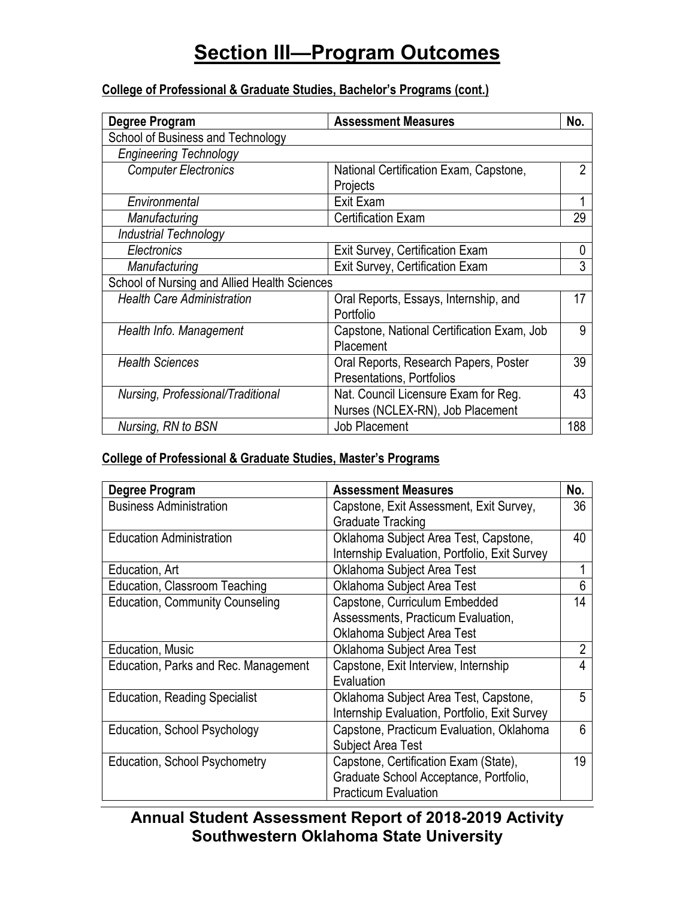### **College of Professional & Graduate Studies, Bachelor's Programs (cont.)**

| Degree Program                               | <b>Assessment Measures</b>                 | No. |
|----------------------------------------------|--------------------------------------------|-----|
| School of Business and Technology            |                                            |     |
| <b>Engineering Technology</b>                |                                            |     |
| <b>Computer Electronics</b>                  | National Certification Exam, Capstone,     | 2   |
|                                              | Projects                                   |     |
| Environmental                                | Exit Exam                                  |     |
| Manufacturing                                | <b>Certification Exam</b>                  | 29  |
| Industrial Technology                        |                                            |     |
| Electronics                                  | Exit Survey, Certification Exam            | 0   |
| Manufacturing                                | Exit Survey, Certification Exam            | 3   |
| School of Nursing and Allied Health Sciences |                                            |     |
| <b>Health Care Administration</b>            | Oral Reports, Essays, Internship, and      | 17  |
|                                              | Portfolio                                  |     |
| Health Info. Management                      | Capstone, National Certification Exam, Job | 9   |
|                                              | Placement                                  |     |
| <b>Health Sciences</b>                       | Oral Reports, Research Papers, Poster      | 39  |
|                                              | Presentations, Portfolios                  |     |
| Nursing, Professional/Traditional            | Nat. Council Licensure Exam for Reg.       | 43  |
|                                              | Nurses (NCLEX-RN), Job Placement           |     |
| Nursing, RN to BSN                           | <b>Job Placement</b>                       | 188 |

### **College of Professional & Graduate Studies, Master's Programs**

| Degree Program                         | <b>Assessment Measures</b>                    | No.            |
|----------------------------------------|-----------------------------------------------|----------------|
| <b>Business Administration</b>         | Capstone, Exit Assessment, Exit Survey,       | 36             |
|                                        | <b>Graduate Tracking</b>                      |                |
| <b>Education Administration</b>        | Oklahoma Subject Area Test, Capstone,         | 40             |
|                                        | Internship Evaluation, Portfolio, Exit Survey |                |
| Education, Art                         | Oklahoma Subject Area Test                    |                |
| Education, Classroom Teaching          | Oklahoma Subject Area Test                    | 6              |
| <b>Education, Community Counseling</b> | Capstone, Curriculum Embedded                 | 14             |
|                                        | Assessments, Practicum Evaluation,            |                |
|                                        | Oklahoma Subject Area Test                    |                |
| Education, Music                       | Oklahoma Subject Area Test                    | $\overline{2}$ |
| Education, Parks and Rec. Management   | Capstone, Exit Interview, Internship          | 4              |
|                                        | Evaluation                                    |                |
| <b>Education, Reading Specialist</b>   | Oklahoma Subject Area Test, Capstone,         | 5              |
|                                        | Internship Evaluation, Portfolio, Exit Survey |                |
| Education, School Psychology           | Capstone, Practicum Evaluation, Oklahoma      | 6              |
|                                        | <b>Subject Area Test</b>                      |                |
| <b>Education, School Psychometry</b>   | Capstone, Certification Exam (State),         | 19             |
|                                        | Graduate School Acceptance, Portfolio,        |                |
|                                        | <b>Practicum Evaluation</b>                   |                |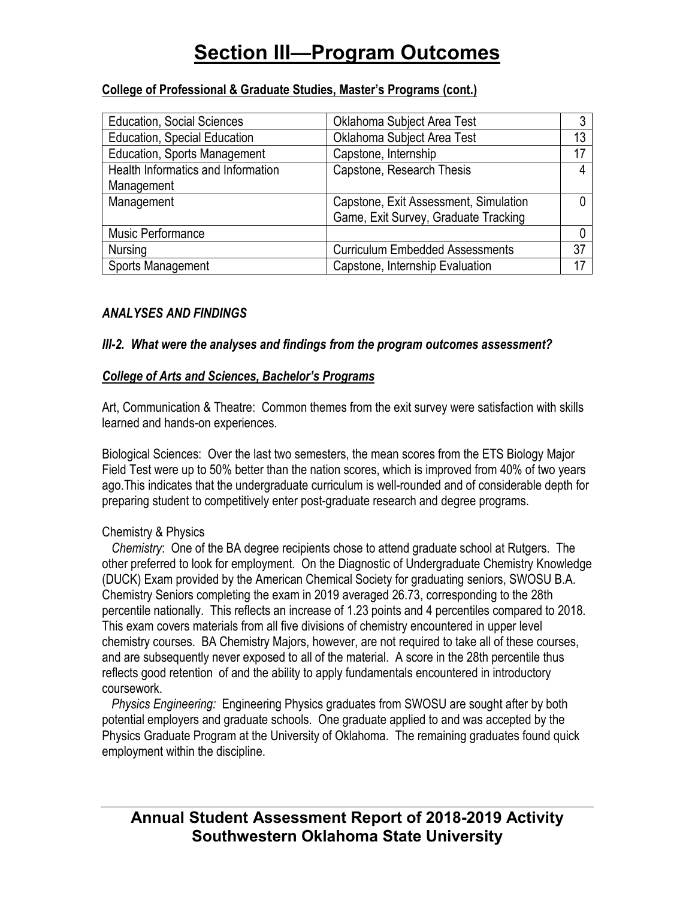### **College of Professional & Graduate Studies, Master's Programs (cont.)**

| <b>Education, Social Sciences</b>   | Oklahoma Subject Area Test             |    |
|-------------------------------------|----------------------------------------|----|
| <b>Education, Special Education</b> | Oklahoma Subject Area Test             |    |
| <b>Education, Sports Management</b> | Capstone, Internship                   | 17 |
| Health Informatics and Information  | Capstone, Research Thesis              |    |
| Management                          |                                        |    |
| Management                          | Capstone, Exit Assessment, Simulation  |    |
|                                     | Game, Exit Survey, Graduate Tracking   |    |
| Music Performance                   |                                        |    |
| Nursing                             | <b>Curriculum Embedded Assessments</b> | 37 |
| Sports Management                   | Capstone, Internship Evaluation        |    |

### *ANALYSES AND FINDINGS*

### *III-2. What were the analyses and findings from the program outcomes assessment?*

#### *College of Arts and Sciences, Bachelor's Programs*

Art, Communication & Theatre: Common themes from the exit survey were satisfaction with skills learned and hands-on experiences.

Biological Sciences:Over the last two semesters, the mean scores from the ETS Biology Major Field Test were up to 50% better than the nation scores, which is improved from 40% of two years ago.This indicates that the undergraduate curriculum is well-rounded and of considerable depth for preparing student to competitively enter post-graduate research and degree programs.

### Chemistry & Physics

 *Chemistry*: One of the BA degree recipients chose to attend graduate school at Rutgers. The other preferred to look for employment. On the Diagnostic of Undergraduate Chemistry Knowledge (DUCK) Exam provided by the American Chemical Society for graduating seniors, SWOSU B.A. Chemistry Seniors completing the exam in 2019 averaged 26.73, corresponding to the 28th percentile nationally. This reflects an increase of 1.23 points and 4 percentiles compared to 2018. This exam covers materials from all five divisions of chemistry encountered in upper level chemistry courses. BA Chemistry Majors, however, are not required to take all of these courses, and are subsequently never exposed to all of the material. A score in the 28th percentile thus reflects good retention of and the ability to apply fundamentals encountered in introductory coursework.

 *Physics Engineering:* Engineering Physics graduates from SWOSU are sought after by both potential employers and graduate schools. One graduate applied to and was accepted by the Physics Graduate Program at the University of Oklahoma. The remaining graduates found quick employment within the discipline.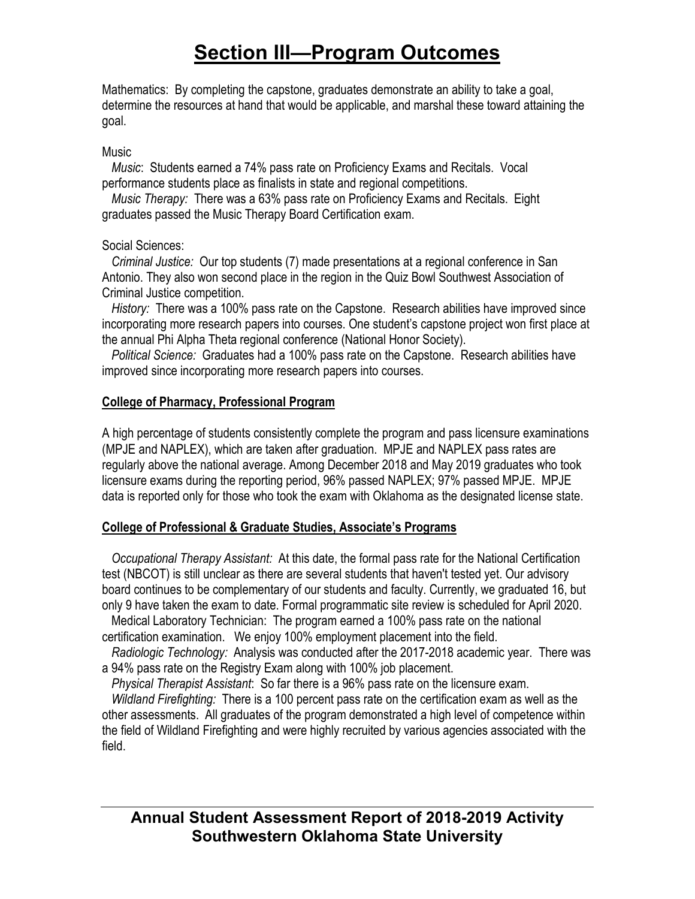Mathematics: By completing the capstone, graduates demonstrate an ability to take a goal, determine the resources at hand that would be applicable, and marshal these toward attaining the goal.

#### **Music**

 *Music*: Students earned a 74% pass rate on Proficiency Exams and Recitals. Vocal performance students place as finalists in state and regional competitions.

 *Music Therapy:* There was a 63% pass rate on Proficiency Exams and Recitals. Eight graduates passed the Music Therapy Board Certification exam.

### Social Sciences:

 *Criminal Justice:* Our top students (7) made presentations at a regional conference in San Antonio. They also won second place in the region in the Quiz Bowl Southwest Association of Criminal Justice competition.

 *History:* There was a 100% pass rate on the Capstone. Research abilities have improved since incorporating more research papers into courses. One student's capstone project won first place at the annual Phi Alpha Theta regional conference (National Honor Society).

*Political Science:* Graduates had a 100% pass rate on the Capstone. Research abilities have improved since incorporating more research papers into courses.

### **College of Pharmacy, Professional Program**

A high percentage of students consistently complete the program and pass licensure examinations (MPJE and NAPLEX), which are taken after graduation. MPJE and NAPLEX pass rates are regularly above the national average. Among December 2018 and May 2019 graduates who took licensure exams during the reporting period, 96% passed NAPLEX; 97% passed MPJE. MPJE data is reported only for those who took the exam with Oklahoma as the designated license state.

### **College of Professional & Graduate Studies, Associate's Programs**

 *Occupational Therapy Assistant:* At this date, the formal pass rate for the National Certification test (NBCOT) is still unclear as there are several students that haven't tested yet. Our advisory board continues to be complementary of our students and faculty. Currently, we graduated 16, but only 9 have taken the exam to date. Formal programmatic site review is scheduled for April 2020. Medical Laboratory Technician: The program earned a 100% pass rate on the national

certification examination. We enjoy 100% employment placement into the field.

 *Radiologic Technology:* Analysis was conducted after the 2017-2018 academic year. There was a 94% pass rate on the Registry Exam along with 100% job placement.

 *Physical Therapist Assistant*: So far there is a 96% pass rate on the licensure exam.

 *Wildland Firefighting:* There is a 100 percent pass rate on the certification exam as well as the other assessments. All graduates of the program demonstrated a high level of competence within the field of Wildland Firefighting and were highly recruited by various agencies associated with the field.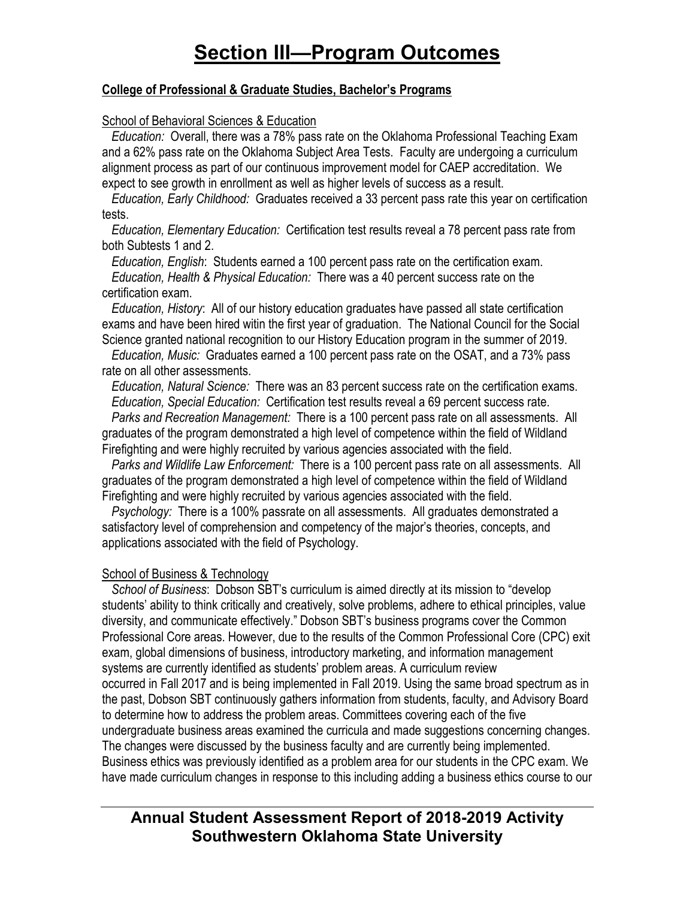#### **College of Professional & Graduate Studies, Bachelor's Programs**

#### School of Behavioral Sciences & Education

 *Education:* Overall, there was a 78% pass rate on the Oklahoma Professional Teaching Exam and a 62% pass rate on the Oklahoma Subject Area Tests. Faculty are undergoing a curriculum alignment process as part of our continuous improvement model for CAEP accreditation. We expect to see growth in enrollment as well as higher levels of success as a result.

 *Education, Early Childhood:* Graduates received a 33 percent pass rate this year on certification tests.

 *Education, Elementary Education:* Certification test results reveal a 78 percent pass rate from both Subtests 1 and 2.

 *Education, English*: Students earned a 100 percent pass rate on the certification exam. *Education, Health & Physical Education:* There was a 40 percent success rate on the certification exam.

 *Education, History*: All of our history education graduates have passed all state certification exams and have been hired witin the first year of graduation. The National Council for the Social Science granted national recognition to our History Education program in the summer of 2019.

*Education, Music:* Graduates earned a 100 percent pass rate on the OSAT, and a 73% pass rate on all other assessments.

 *Education, Natural Science:* There was an 83 percent success rate on the certification exams. *Education, Special Education:* Certification test results reveal a 69 percent success rate.

 *Parks and Recreation Management:* There is a 100 percent pass rate on all assessments. All graduates of the program demonstrated a high level of competence within the field of Wildland Firefighting and were highly recruited by various agencies associated with the field.

 *Parks and Wildlife Law Enforcement:* There is a 100 percent pass rate on all assessments. All graduates of the program demonstrated a high level of competence within the field of Wildland Firefighting and were highly recruited by various agencies associated with the field.

 *Psychology:* There is a 100% passrate on all assessments. All graduates demonstrated a satisfactory level of comprehension and competency of the major's theories, concepts, and applications associated with the field of Psychology.

#### School of Business & Technology

 *School of Business*: Dobson SBT's curriculum is aimed directly at its mission to "develop students' ability to think critically and creatively, solve problems, adhere to ethical principles, value diversity, and communicate effectively." Dobson SBT's business programs cover the Common Professional Core areas. However, due to the results of the Common Professional Core (CPC) exit exam, global dimensions of business, introductory marketing, and information management systems are currently identified as students' problem areas. A curriculum review occurred in Fall 2017 and is being implemented in Fall 2019. Using the same broad spectrum as in the past, Dobson SBT continuously gathers information from students, faculty, and Advisory Board to determine how to address the problem areas. Committees covering each of the five undergraduate business areas examined the curricula and made suggestions concerning changes. The changes were discussed by the business faculty and are currently being implemented. Business ethics was previously identified as a problem area for our students in the CPC exam. We have made curriculum changes in response to this including adding a business ethics course to our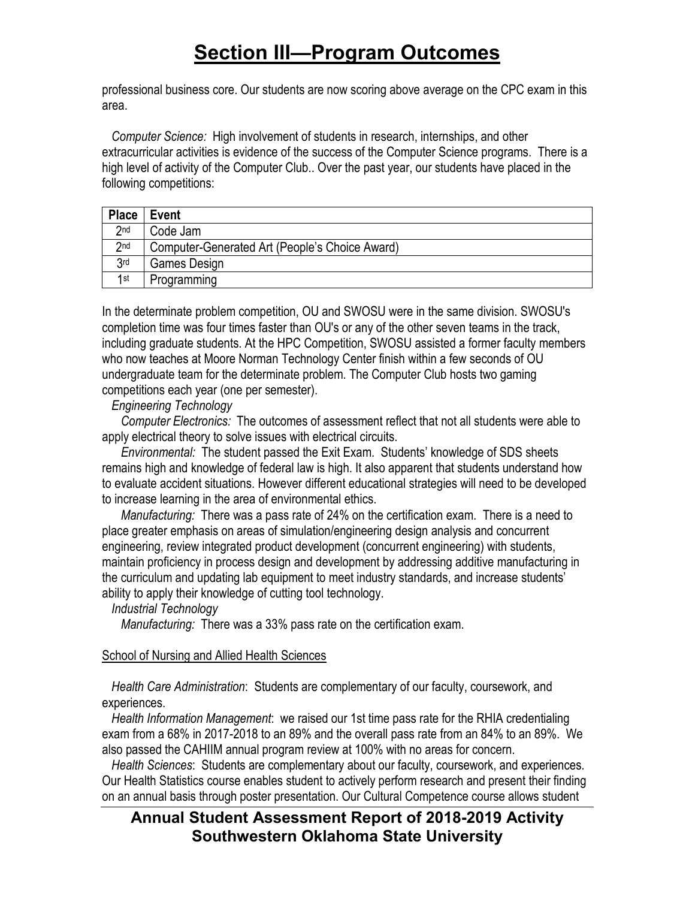professional business core. Our students are now scoring above average on the CPC exam in this area.

 *Computer Science:* High involvement of students in research, internships, and other extracurricular activities is evidence of the success of the Computer Science programs. There is a high level of activity of the Computer Club.. Over the past year, our students have placed in the following competitions:

| <b>Place</b>    | Event                                          |
|-----------------|------------------------------------------------|
| 2nd             | Code Jam                                       |
| 2 <sub>nd</sub> | Computer-Generated Art (People's Choice Award) |
| 3 <sub>rd</sub> | Games Design                                   |
| 1st             | Programming                                    |

In the determinate problem competition, OU and SWOSU were in the same division. SWOSU's completion time was four times faster than OU's or any of the other seven teams in the track, including graduate students. At the HPC Competition, SWOSU assisted a former faculty members who now teaches at Moore Norman Technology Center finish within a few seconds of OU undergraduate team for the determinate problem. The Computer Club hosts two gaming competitions each year (one per semester).

*Engineering Technology*

 *Computer Electronics:* The outcomes of assessment reflect that not all students were able to apply electrical theory to solve issues with electrical circuits.

 *Environmental:* The student passed the Exit Exam. Students' knowledge of SDS sheets remains high and knowledge of federal law is high. It also apparent that students understand how to evaluate accident situations. However different educational strategies will need to be developed to increase learning in the area of environmental ethics.

 *Manufacturing:* There was a pass rate of 24% on the certification exam. There is a need to place greater emphasis on areas of simulation/engineering design analysis and concurrent engineering, review integrated product development (concurrent engineering) with students, maintain proficiency in process design and development by addressing additive manufacturing in the curriculum and updating lab equipment to meet industry standards, and increase students' ability to apply their knowledge of cutting tool technology.

*Industrial Technology*

 *Manufacturing:* There was a 33% pass rate on the certification exam.

### School of Nursing and Allied Health Sciences

 *Health Care Administration*: Students are complementary of our faculty, coursework, and experiences.

 *Health Information Management*: we raised our 1st time pass rate for the RHIA credentialing exam from a 68% in 2017-2018 to an 89% and the overall pass rate from an 84% to an 89%. We also passed the CAHIIM annual program review at 100% with no areas for concern.

 *Health Sciences*: Students are complementary about our faculty, coursework, and experiences. Our Health Statistics course enables student to actively perform research and present their finding on an annual basis through poster presentation. Our Cultural Competence course allows student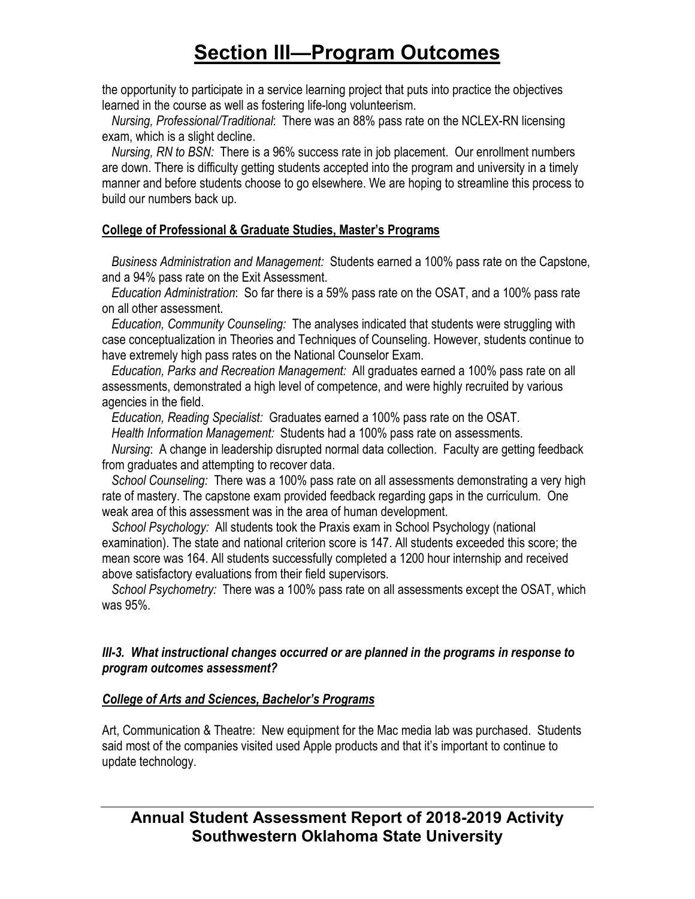the opportunity to participate in a service learning project that puts into practice the objectives learned in the course as well as fostering life-long volunteerism.

 *Nursing, Professional/Traditional*: There was an 88% pass rate on the NCLEX-RN licensing exam, which is a slight decline.

 *Nursing, RN to BSN:* There is a 96% success rate in job placement. Our enrollment numbers are down. There is difficulty getting students accepted into the program and university in a timely manner and before students choose to go elsewhere. We are hoping to streamline this process to build our numbers back up.

### **College of Professional & Graduate Studies, Master's Programs**

 *Business Administration and Management:* Students earned a 100% pass rate on the Capstone, and a 94% pass rate on the Exit Assessment.

 *Education Administration*: So far there is a 59% pass rate on the OSAT, and a 100% pass rate on all other assessment.

 *Education, Community Counseling:* The analyses indicated that students were struggling with case conceptualization in Theories and Techniques of Counseling. However, students continue to have extremely high pass rates on the National Counselor Exam.

 *Education, Parks and Recreation Management:* All graduates earned a 100% pass rate on all assessments, demonstrated a high level of competence, and were highly recruited by various agencies in the field.

 *Education, Reading Specialist:* Graduates earned a 100% pass rate on the OSAT.

*Health Information Management:* Students had a 100% pass rate on assessments.

 *Nursing*: A change in leadership disrupted normal data collection. Faculty are getting feedback from graduates and attempting to recover data.

 *School Counseling:* There was a 100% pass rate on all assessments demonstrating a very high rate of mastery. The capstone exam provided feedback regarding gaps in the curriculum. One weak area of this assessment was in the area of human development.

 *School Psychology:* All students took the Praxis exam in School Psychology (national examination). The state and national criterion score is 147. All students exceeded this score; the mean score was 164. All students successfully completed a 1200 hour internship and received above satisfactory evaluations from their field supervisors.

 *School Psychometry:* There was a 100% pass rate on all assessments except the OSAT, which was 95%.

### *III-3. What instructional changes occurred or are planned in the programs in response to program outcomes assessment?*

### *College of Arts and Sciences, Bachelor's Programs*

Art, Communication & Theatre: New equipment for the Mac media lab was purchased. Students said most of the companies visited used Apple products and that it's important to continue to update technology.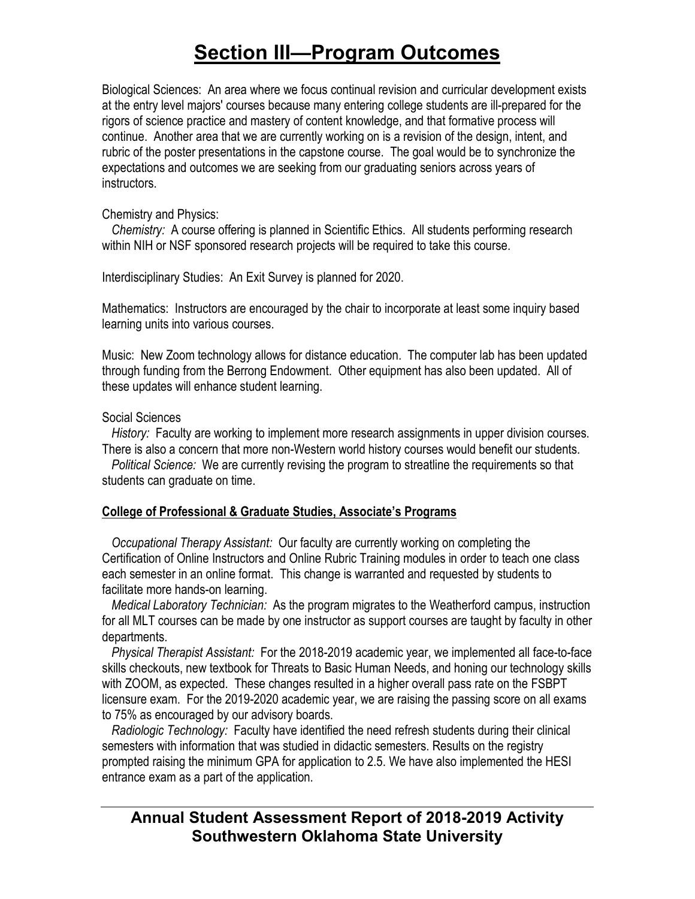Biological Sciences:An area where we focus continual revision and curricular development exists at the entry level majors' courses because many entering college students are ill-prepared for the rigors of science practice and mastery of content knowledge, and that formative process will continue. Another area that we are currently working on is a revision of the design, intent, and rubric of the poster presentations in the capstone course. The goal would be to synchronize the expectations and outcomes we are seeking from our graduating seniors across years of instructors.

#### Chemistry and Physics:

 *Chemistry:* A course offering is planned in Scientific Ethics. All students performing research within NIH or NSF sponsored research projects will be required to take this course.

Interdisciplinary Studies: An Exit Survey is planned for 2020.

Mathematics: Instructors are encouraged by the chair to incorporate at least some inquiry based learning units into various courses.

Music: New Zoom technology allows for distance education. The computer lab has been updated through funding from the Berrong Endowment. Other equipment has also been updated. All of these updates will enhance student learning.

### Social Sciences

 *History:* Faculty are working to implement more research assignments in upper division courses. There is also a concern that more non-Western world history courses would benefit our students.

 *Political Science:* We are currently revising the program to streatline the requirements so that students can graduate on time.

### **College of Professional & Graduate Studies, Associate's Programs**

 *Occupational Therapy Assistant:* Our faculty are currently working on completing the Certification of Online Instructors and Online Rubric Training modules in order to teach one class each semester in an online format. This change is warranted and requested by students to facilitate more hands-on learning.

 *Medical Laboratory Technician:* As the program migrates to the Weatherford campus, instruction for all MLT courses can be made by one instructor as support courses are taught by faculty in other departments.

 *Physical Therapist Assistant:* For the 2018-2019 academic year, we implemented all face-to-face skills checkouts, new textbook for Threats to Basic Human Needs, and honing our technology skills with ZOOM, as expected. These changes resulted in a higher overall pass rate on the FSBPT licensure exam. For the 2019-2020 academic year, we are raising the passing score on all exams to 75% as encouraged by our advisory boards.

 *Radiologic Technology:* Faculty have identified the need refresh students during their clinical semesters with information that was studied in didactic semesters. Results on the registry prompted raising the minimum GPA for application to 2.5. We have also implemented the HESI entrance exam as a part of the application.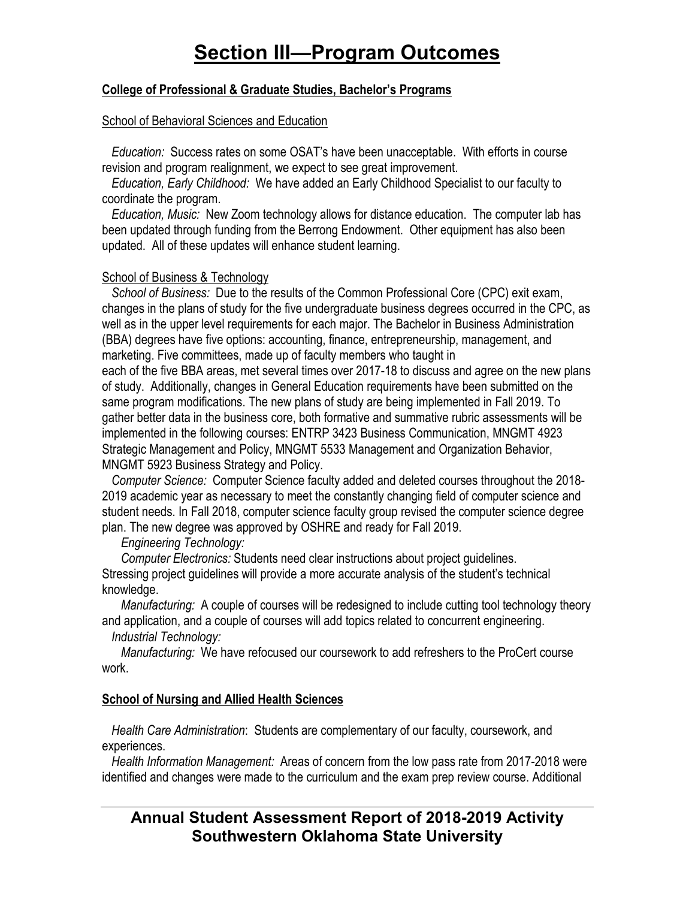### **College of Professional & Graduate Studies, Bachelor's Programs**

#### School of Behavioral Sciences and Education

 *Education:* Success rates on some OSAT's have been unacceptable. With efforts in course revision and program realignment, we expect to see great improvement.

 *Education, Early Childhood:* We have added an Early Childhood Specialist to our faculty to coordinate the program.

 *Education, Music:* New Zoom technology allows for distance education. The computer lab has been updated through funding from the Berrong Endowment. Other equipment has also been updated. All of these updates will enhance student learning.

### School of Business & Technology

 *School of Business:* Due to the results of the Common Professional Core (CPC) exit exam, changes in the plans of study for the five undergraduate business degrees occurred in the CPC, as well as in the upper level requirements for each major. The Bachelor in Business Administration (BBA) degrees have five options: accounting, finance, entrepreneurship, management, and marketing. Five committees, made up of faculty members who taught in

each of the five BBA areas, met several times over 2017-18 to discuss and agree on the new plans of study. Additionally, changes in General Education requirements have been submitted on the same program modifications. The new plans of study are being implemented in Fall 2019. To gather better data in the business core, both formative and summative rubric assessments will be implemented in the following courses: ENTRP 3423 Business Communication, MNGMT 4923 Strategic Management and Policy, MNGMT 5533 Management and Organization Behavior, MNGMT 5923 Business Strategy and Policy.

 *Computer Science:* Computer Science faculty added and deleted courses throughout the 2018- 2019 academic year as necessary to meet the constantly changing field of computer science and student needs. In Fall 2018, computer science faculty group revised the computer science degree plan. The new degree was approved by OSHRE and ready for Fall 2019.

### *Engineering Technology:*

 *Computer Electronics:* Students need clear instructions about project guidelines. Stressing project guidelines will provide a more accurate analysis of the student's technical knowledge.

 *Manufacturing:* A couple of courses will be redesigned to include cutting tool technology theory and application, and a couple of courses will add topics related to concurrent engineering.

*Industrial Technology:* 

 *Manufacturing:* We have refocused our coursework to add refreshers to the ProCert course work.

### **School of Nursing and Allied Health Sciences**

 *Health Care Administration*: Students are complementary of our faculty, coursework, and experiences.

 *Health Information Management:* Areas of concern from the low pass rate from 2017-2018 were identified and changes were made to the curriculum and the exam prep review course. Additional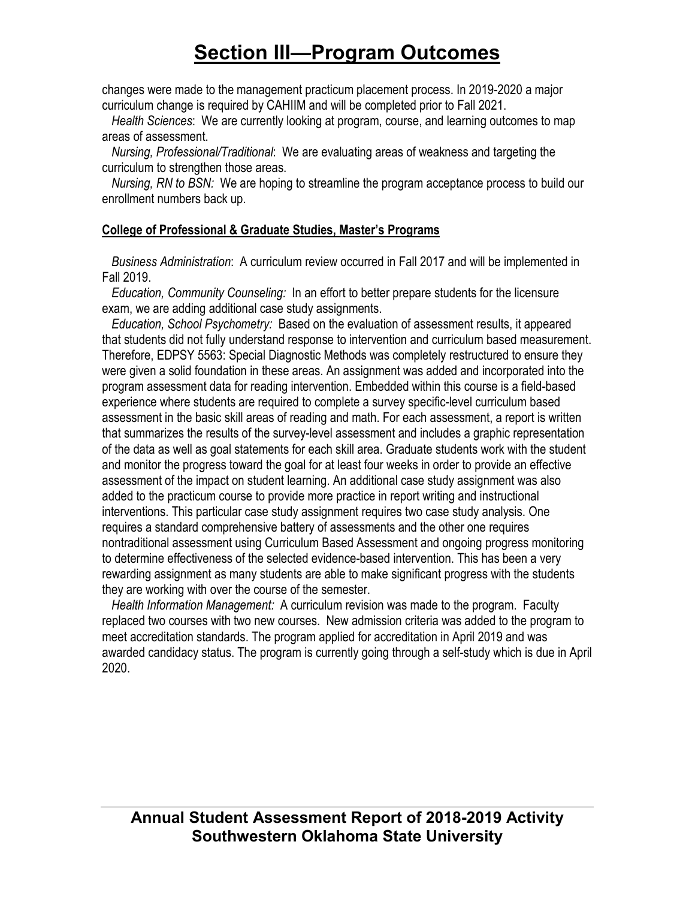changes were made to the management practicum placement process. In 2019-2020 a major curriculum change is required by CAHIIM and will be completed prior to Fall 2021.

 *Health Sciences*: We are currently looking at program, course, and learning outcomes to map areas of assessment.

 *Nursing, Professional/Traditional*: We are evaluating areas of weakness and targeting the curriculum to strengthen those areas.

 *Nursing, RN to BSN:* We are hoping to streamline the program acceptance process to build our enrollment numbers back up.

### **College of Professional & Graduate Studies, Master's Programs**

 *Business Administration*: A curriculum review occurred in Fall 2017 and will be implemented in Fall 2019.

 *Education, Community Counseling:* In an effort to better prepare students for the licensure exam, we are adding additional case study assignments.

 *Education, School Psychometry:* Based on the evaluation of assessment results, it appeared that students did not fully understand response to intervention and curriculum based measurement. Therefore, EDPSY 5563: Special Diagnostic Methods was completely restructured to ensure they were given a solid foundation in these areas. An assignment was added and incorporated into the program assessment data for reading intervention. Embedded within this course is a field-based experience where students are required to complete a survey specific-level curriculum based assessment in the basic skill areas of reading and math. For each assessment, a report is written that summarizes the results of the survey-level assessment and includes a graphic representation of the data as well as goal statements for each skill area. Graduate students work with the student and monitor the progress toward the goal for at least four weeks in order to provide an effective assessment of the impact on student learning. An additional case study assignment was also added to the practicum course to provide more practice in report writing and instructional interventions. This particular case study assignment requires two case study analysis. One requires a standard comprehensive battery of assessments and the other one requires nontraditional assessment using Curriculum Based Assessment and ongoing progress monitoring to determine effectiveness of the selected evidence-based intervention. This has been a very rewarding assignment as many students are able to make significant progress with the students they are working with over the course of the semester.

 *Health Information Management:* A curriculum revision was made to the program. Faculty replaced two courses with two new courses. New admission criteria was added to the program to meet accreditation standards. The program applied for accreditation in April 2019 and was awarded candidacy status. The program is currently going through a self-study which is due in April 2020.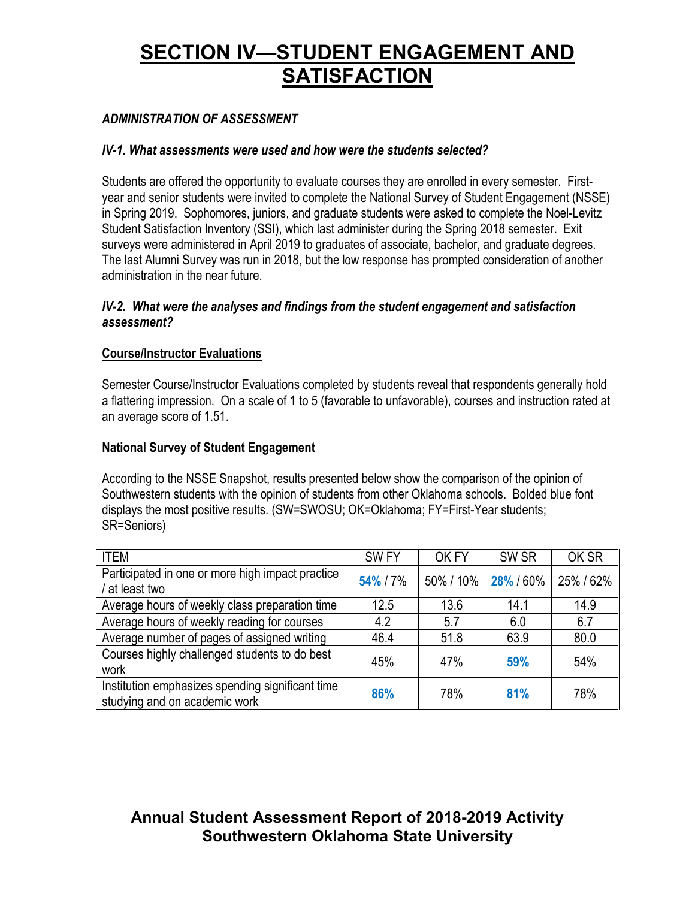### *ADMINISTRATION OF ASSESSMENT*

### *IV-1. What assessments were used and how were the students selected?*

Students are offered the opportunity to evaluate courses they are enrolled in every semester. Firstyear and senior students were invited to complete the National Survey of Student Engagement (NSSE) in Spring 2019. Sophomores, juniors, and graduate students were asked to complete the Noel-Levitz Student Satisfaction Inventory (SSI), which last administer during the Spring 2018 semester. Exit surveys were administered in April 2019 to graduates of associate, bachelor, and graduate degrees. The last Alumni Survey was run in 2018, but the low response has prompted consideration of another administration in the near future.

#### *IV-2. What were the analyses and findings from the student engagement and satisfaction assessment?*

### **Course/Instructor Evaluations**

Semester Course/Instructor Evaluations completed by students reveal that respondents generally hold a flattering impression. On a scale of 1 to 5 (favorable to unfavorable), courses and instruction rated at an average score of 1.51.

### **National Survey of Student Engagement**

According to the NSSE Snapshot, results presented below show the comparison of the opinion of Southwestern students with the opinion of students from other Oklahoma schools. Bolded blue font displays the most positive results. (SW=SWOSU; OK=Oklahoma; FY=First-Year students; SR=Seniors)

| <b>ITEM</b>                                                                       | SW <sub>FY</sub> | OK FY     | SW <sub>SR</sub> | OK SR   |
|-----------------------------------------------------------------------------------|------------------|-----------|------------------|---------|
| Participated in one or more high impact practice<br>at least two                  | 54% / 7%         | 50% / 10% | 28% / 60%        | 25%/62% |
| Average hours of weekly class preparation time                                    | 12.5             | 13.6      | 14.1             | 14.9    |
| Average hours of weekly reading for courses                                       | 4.2              | 5.7       | 6.0              | 6.7     |
| Average number of pages of assigned writing                                       | 46.4             | 51.8      | 63.9             | 80.0    |
| Courses highly challenged students to do best<br>work                             | 45%              | 47%       | 59%              | 54%     |
| Institution emphasizes spending significant time<br>studying and on academic work | 86%              | 78%       | 81%              | 78%     |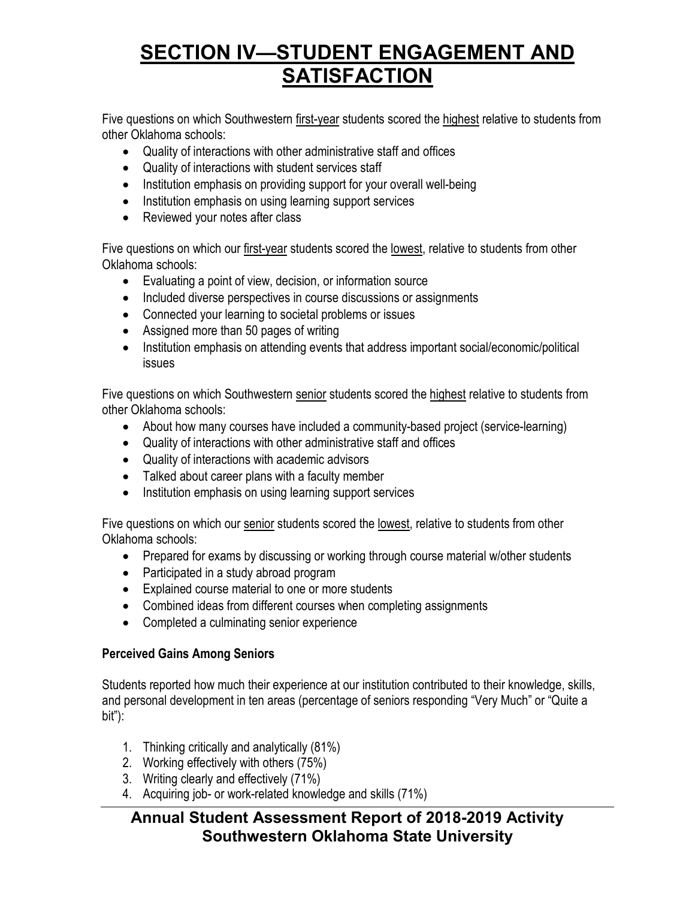Five questions on which Southwestern first-year students scored the highest relative to students from other Oklahoma schools:

- Quality of interactions with other administrative staff and offices
- Quality of interactions with student services staff
- Institution emphasis on providing support for your overall well-being
- Institution emphasis on using learning support services
- Reviewed your notes after class

Five questions on which our first-year students scored the lowest, relative to students from other Oklahoma schools:

- Evaluating a point of view, decision, or information source
- Included diverse perspectives in course discussions or assignments
- Connected your learning to societal problems or issues
- Assigned more than 50 pages of writing
- Institution emphasis on attending events that address important social/economic/political issues

Five questions on which Southwestern senior students scored the highest relative to students from other Oklahoma schools:

- About how many courses have included a community-based project (service-learning)
- Quality of interactions with other administrative staff and offices
- Quality of interactions with academic advisors
- Talked about career plans with a faculty member
- Institution emphasis on using learning support services

Five questions on which our senior students scored the lowest, relative to students from other Oklahoma schools:

- Prepared for exams by discussing or working through course material w/other students
- Participated in a study abroad program
- Explained course material to one or more students
- Combined ideas from different courses when completing assignments
- Completed a culminating senior experience

### **Perceived Gains Among Seniors**

Students reported how much their experience at our institution contributed to their knowledge, skills, and personal development in ten areas (percentage of seniors responding "Very Much" or "Quite a bit"):

- 1. Thinking critically and analytically (81%)
- 2. Working effectively with others (75%)
- 3. Writing clearly and effectively (71%)
- 4. Acquiring job- or work-related knowledge and skills (71%)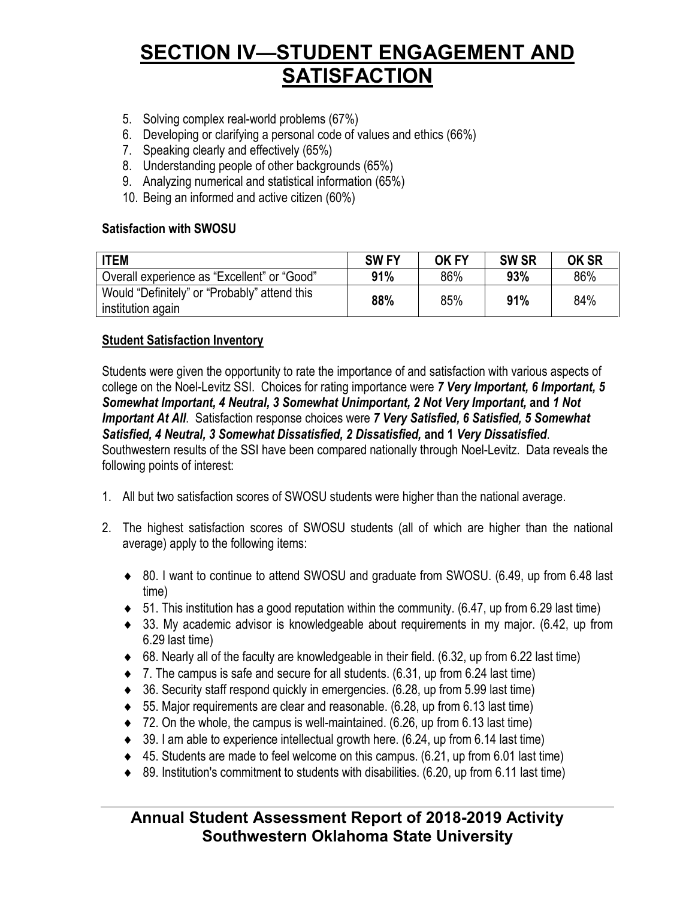- 5. Solving complex real-world problems (67%)
- 6. Developing or clarifying a personal code of values and ethics (66%)
- 7. Speaking clearly and effectively (65%)
- 8. Understanding people of other backgrounds (65%)
- 9. Analyzing numerical and statistical information (65%)
- 10. Being an informed and active citizen (60%)

### **Satisfaction with SWOSU**

| <b>ITEM</b>                                                       | <b>SWFY</b> | OK FY | <b>SW SR</b> | <b>OK SR</b> |
|-------------------------------------------------------------------|-------------|-------|--------------|--------------|
| Overall experience as "Excellent" or "Good"                       | 91%         | 86%   | 93%          | 86%          |
| Would "Definitely" or "Probably" attend this<br>institution again | 88%         | 85%   | 91%          | 84%          |

### **Student Satisfaction Inventory**

Students were given the opportunity to rate the importance of and satisfaction with various aspects of college on the Noel-Levitz SSI. Choices for rating importance were *7 Very Important, 6 Important, 5 Somewhat Important, 4 Neutral, 3 Somewhat Unimportant, 2 Not Very Important,* **and** *1 Not Important At All*. Satisfaction response choices were *7 Very Satisfied, 6 Satisfied, 5 Somewhat Satisfied, 4 Neutral, 3 Somewhat Dissatisfied, 2 Dissatisfied,* **and 1** *Very Dissatisfied*. Southwestern results of the SSI have been compared nationally through Noel-Levitz. Data reveals the following points of interest:

- 1. All but two satisfaction scores of SWOSU students were higher than the national average.
- 2. The highest satisfaction scores of SWOSU students (all of which are higher than the national average) apply to the following items:
	- ♦ 80. I want to continue to attend SWOSU and graduate from SWOSU. (6.49, up from 6.48 last time)
	- $\bullet$  51. This institution has a good reputation within the community. (6.47, up from 6.29 last time)
	- ♦ 33. My academic advisor is knowledgeable about requirements in my major. (6.42, up from 6.29 last time)
	- $\bullet$  68. Nearly all of the faculty are knowledgeable in their field. (6.32, up from 6.22 last time)
	- $\bullet$  7. The campus is safe and secure for all students. (6.31, up from 6.24 last time)
	- ♦ 36. Security staff respond quickly in emergencies. (6.28, up from 5.99 last time)
	- $\bullet$  55. Major requirements are clear and reasonable. (6.28, up from 6.13 last time)
	- ♦ 72. On the whole, the campus is well-maintained. (6.26, up from 6.13 last time)
	- $\bullet$  39. I am able to experience intellectual growth here. (6.24, up from 6.14 last time)
	- $\triangleleft$  45. Students are made to feel welcome on this campus. (6.21, up from 6.01 last time)
	- $\bullet$  89. Institution's commitment to students with disabilities. (6.20, up from 6.11 last time)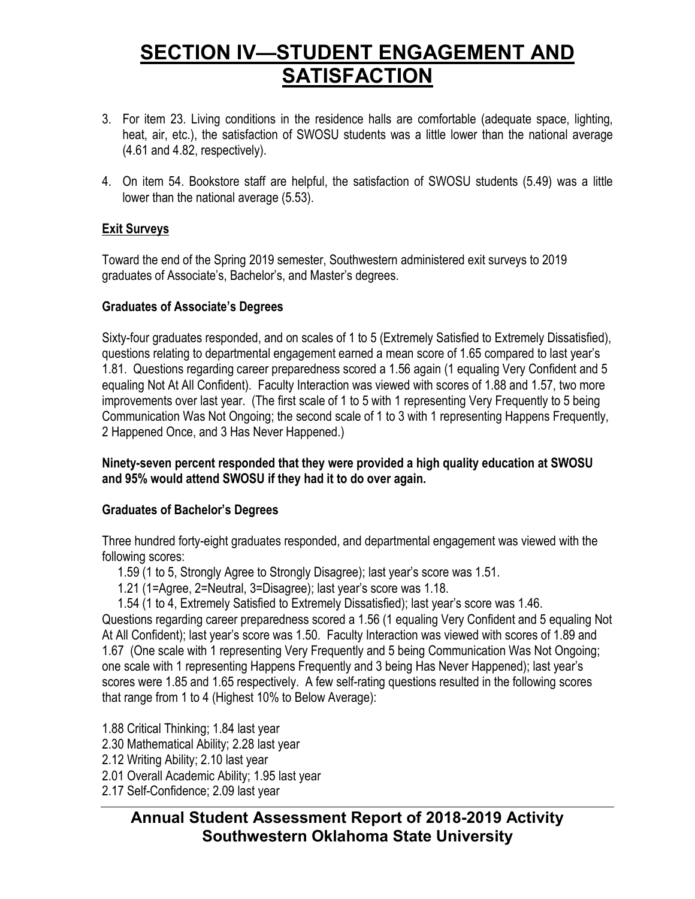- 3. For item 23. Living conditions in the residence halls are comfortable (adequate space, lighting, heat, air, etc.), the satisfaction of SWOSU students was a little lower than the national average (4.61 and 4.82, respectively).
- 4. On item 54. Bookstore staff are helpful, the satisfaction of SWOSU students (5.49) was a little lower than the national average (5.53).

### **Exit Surveys**

Toward the end of the Spring 2019 semester, Southwestern administered exit surveys to 2019 graduates of Associate's, Bachelor's, and Master's degrees.

### **Graduates of Associate's Degrees**

Sixty-four graduates responded, and on scales of 1 to 5 (Extremely Satisfied to Extremely Dissatisfied), questions relating to departmental engagement earned a mean score of 1.65 compared to last year's 1.81. Questions regarding career preparedness scored a 1.56 again (1 equaling Very Confident and 5 equaling Not At All Confident). Faculty Interaction was viewed with scores of 1.88 and 1.57, two more improvements over last year. (The first scale of 1 to 5 with 1 representing Very Frequently to 5 being Communication Was Not Ongoing; the second scale of 1 to 3 with 1 representing Happens Frequently, 2 Happened Once, and 3 Has Never Happened.)

### **Ninety-seven percent responded that they were provided a high quality education at SWOSU and 95% would attend SWOSU if they had it to do over again.**

### **Graduates of Bachelor's Degrees**

Three hundred forty-eight graduates responded, and departmental engagement was viewed with the following scores:

1.59 (1 to 5, Strongly Agree to Strongly Disagree); last year's score was 1.51.

1.21 (1=Agree, 2=Neutral, 3=Disagree); last year's score was 1.18.

1.54 (1 to 4, Extremely Satisfied to Extremely Dissatisfied); last year's score was 1.46. Questions regarding career preparedness scored a 1.56 (1 equaling Very Confident and 5 equaling Not At All Confident); last year's score was 1.50. Faculty Interaction was viewed with scores of 1.89 and 1.67 (One scale with 1 representing Very Frequently and 5 being Communication Was Not Ongoing; one scale with 1 representing Happens Frequently and 3 being Has Never Happened); last year's scores were 1.85 and 1.65 respectively. A few self-rating questions resulted in the following scores that range from 1 to 4 (Highest 10% to Below Average):

- 1.88 Critical Thinking; 1.84 last year
- 2.30 Mathematical Ability; 2.28 last year
- 2.12 Writing Ability; 2.10 last year
- 2.01 Overall Academic Ability; 1.95 last year
- 2.17 Self-Confidence; 2.09 last year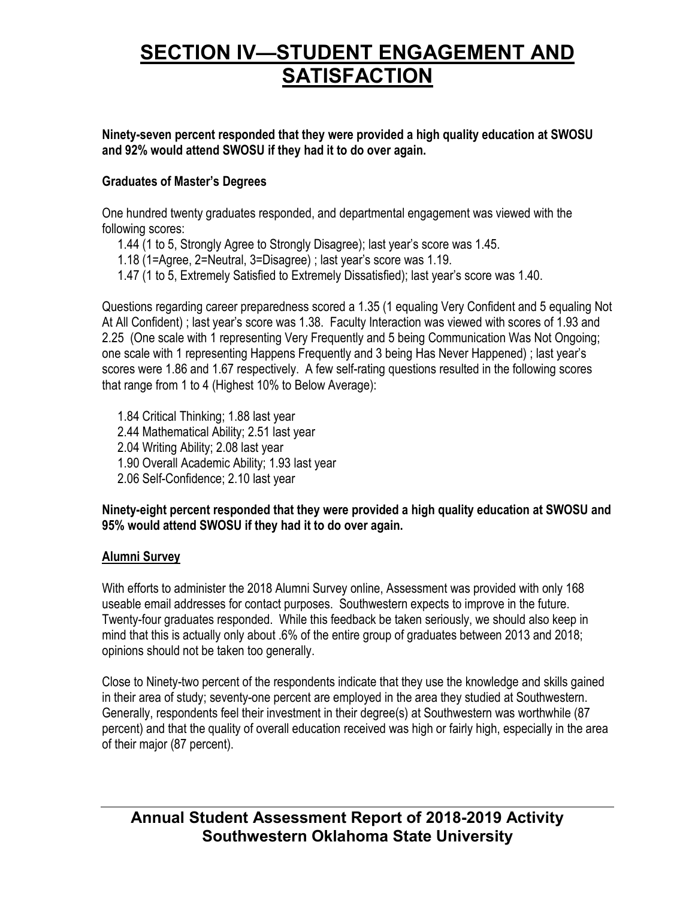**Ninety-seven percent responded that they were provided a high quality education at SWOSU and 92% would attend SWOSU if they had it to do over again.**

### **Graduates of Master's Degrees**

One hundred twenty graduates responded, and departmental engagement was viewed with the following scores:

1.44 (1 to 5, Strongly Agree to Strongly Disagree); last year's score was 1.45.

1.18 (1=Agree, 2=Neutral, 3=Disagree) ; last year's score was 1.19.

1.47 (1 to 5, Extremely Satisfied to Extremely Dissatisfied); last year's score was 1.40.

Questions regarding career preparedness scored a 1.35 (1 equaling Very Confident and 5 equaling Not At All Confident) ; last year's score was 1.38. Faculty Interaction was viewed with scores of 1.93 and 2.25 (One scale with 1 representing Very Frequently and 5 being Communication Was Not Ongoing; one scale with 1 representing Happens Frequently and 3 being Has Never Happened) ; last year's scores were 1.86 and 1.67 respectively. A few self-rating questions resulted in the following scores that range from 1 to 4 (Highest 10% to Below Average):

1.84 Critical Thinking; 1.88 last year 2.44 Mathematical Ability; 2.51 last year 2.04 Writing Ability; 2.08 last year 1.90 Overall Academic Ability; 1.93 last year

2.06 Self-Confidence; 2.10 last year

### **Ninety-eight percent responded that they were provided a high quality education at SWOSU and 95% would attend SWOSU if they had it to do over again.**

### **Alumni Survey**

With efforts to administer the 2018 Alumni Survey online, Assessment was provided with only 168 useable email addresses for contact purposes. Southwestern expects to improve in the future. Twenty-four graduates responded. While this feedback be taken seriously, we should also keep in mind that this is actually only about .6% of the entire group of graduates between 2013 and 2018; opinions should not be taken too generally.

Close to Ninety-two percent of the respondents indicate that they use the knowledge and skills gained in their area of study; seventy-one percent are employed in the area they studied at Southwestern. Generally, respondents feel their investment in their degree(s) at Southwestern was worthwhile (87 percent) and that the quality of overall education received was high or fairly high, especially in the area of their major (87 percent).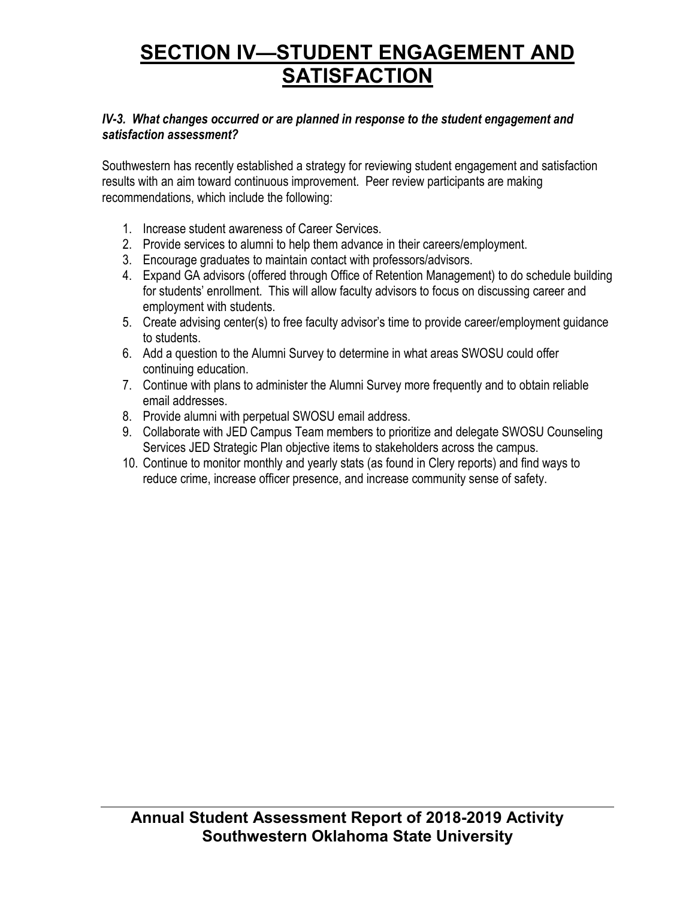### *IV-3. What changes occurred or are planned in response to the student engagement and satisfaction assessment?*

Southwestern has recently established a strategy for reviewing student engagement and satisfaction results with an aim toward continuous improvement. Peer review participants are making recommendations, which include the following:

- 1. Increase student awareness of Career Services.
- 2. Provide services to alumni to help them advance in their careers/employment.
- 3. Encourage graduates to maintain contact with professors/advisors.
- 4. Expand GA advisors (offered through Office of Retention Management) to do schedule building for students' enrollment. This will allow faculty advisors to focus on discussing career and employment with students.
- 5. Create advising center(s) to free faculty advisor's time to provide career/employment guidance to students.
- 6. Add a question to the Alumni Survey to determine in what areas SWOSU could offer continuing education.
- 7. Continue with plans to administer the Alumni Survey more frequently and to obtain reliable email addresses.
- 8. Provide alumni with perpetual SWOSU email address.
- 9. Collaborate with JED Campus Team members to prioritize and delegate SWOSU Counseling Services JED Strategic Plan objective items to stakeholders across the campus.
- 10. Continue to monitor monthly and yearly stats (as found in Clery reports) and find ways to reduce crime, increase officer presence, and increase community sense of safety.